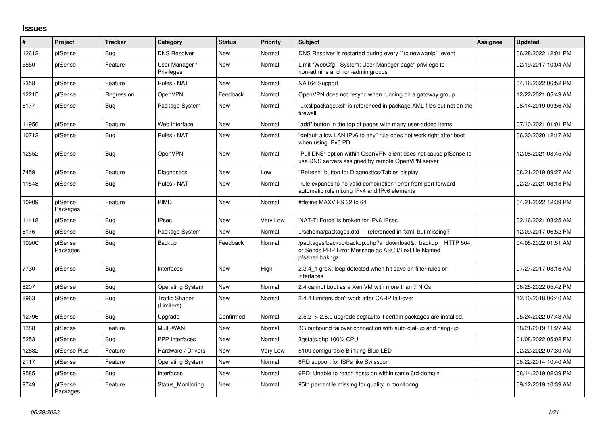## **Issues**

| ∦     | Project             | <b>Tracker</b> | Category                            | <b>Status</b> | <b>Priority</b> | <b>Subject</b>                                                                                                                      | <b>Assignee</b> | <b>Updated</b>      |
|-------|---------------------|----------------|-------------------------------------|---------------|-----------------|-------------------------------------------------------------------------------------------------------------------------------------|-----------------|---------------------|
| 12612 | pfSense             | Bug            | <b>DNS Resolver</b>                 | New           | Normal          | DNS Resolver is restarted during every "rc.newwanip" event                                                                          |                 | 06/28/2022 12:01 PM |
| 5850  | pfSense             | Feature        | User Manager /<br>Privileges        | <b>New</b>    | Normal          | Limit "WebCfg - System: User Manager page" privilege to<br>non-admins and non-admin groups                                          |                 | 02/19/2017 10:04 AM |
| 2358  | pfSense             | Feature        | Rules / NAT                         | New           | Normal          | NAT64 Support                                                                                                                       |                 | 04/16/2022 06:52 PM |
| 12215 | pfSense             | Regression     | <b>OpenVPN</b>                      | Feedback      | Normal          | OpenVPN does not resync when running on a gateway group                                                                             |                 | 12/22/2021 05:49 AM |
| 8177  | pfSense             | <b>Bug</b>     | Package System                      | New           | Normal          | "/xsl/package.xsl" is referenced in package XML files but not on the<br>firewall                                                    |                 | 08/14/2019 09:56 AM |
| 11956 | pfSense             | Feature        | Web Interface                       | <b>New</b>    | Normal          | "add" button in the top of pages with many user-added items                                                                         |                 | 07/10/2021 01:01 PM |
| 10712 | pfSense             | Bug            | Rules / NAT                         | <b>New</b>    | Normal          | "default allow LAN IPv6 to any" rule does not work right after boot<br>when using IPv6 PD                                           |                 | 06/30/2020 12:17 AM |
| 12552 | pfSense             | Bug            | OpenVPN                             | New           | Normal          | "Pull DNS" option within OpenVPN client does not cause pfSense to<br>use DNS servers assigned by remote OpenVPN server              |                 | 12/08/2021 08:45 AM |
| 7459  | pfSense             | Feature        | Diagnostics                         | <b>New</b>    | Low             | "Refresh" button for Diagnostics/Tables display                                                                                     |                 | 08/21/2019 09:27 AM |
| 11548 | pfSense             | <b>Bug</b>     | Rules / NAT                         | New           | Normal          | "rule expands to no valid combination" error from port forward<br>automatic rule mixing IPv4 and IPv6 elements                      |                 | 02/27/2021 03:18 PM |
| 10909 | pfSense<br>Packages | Feature        | PIMD                                | <b>New</b>    | Normal          | #define MAXVIFS 32 to 64                                                                                                            |                 | 04/21/2022 12:39 PM |
| 11418 | pfSense             | <b>Bug</b>     | <b>IPsec</b>                        | New           | Very Low        | 'NAT-T: Force' is broken for IPv6 IPsec                                                                                             |                 | 02/16/2021 08:25 AM |
| 8176  | pfSense             | <b>Bug</b>     | Package System                      | New           | Normal          | ./schema/packages.dtd -- referenced in *xml, but missing?                                                                           |                 | 12/09/2017 06:52 PM |
| 10900 | pfSense<br>Packages | <b>Bug</b>     | Backup                              | Feedback      | Normal          | /packages/backup/backup.php?a=download&t=backup HTTP 504,<br>or Sends PHP Error Message as ASCII/Text file Named<br>pfsense.bak.tgz |                 | 04/05/2022 01:51 AM |
| 7730  | pfSense             | <b>Bug</b>     | Interfaces                          | New           | High            | 2.3.4 1 greX: loop detected when hit save on filter rules or<br>interfaces                                                          |                 | 07/27/2017 08:16 AM |
| 8207  | pfSense             | <b>Bug</b>     | Operating System                    | New           | Normal          | 2.4 cannot boot as a Xen VM with more than 7 NICs                                                                                   |                 | 06/25/2022 05:42 PM |
| 8963  | pfSense             | Bug            | <b>Traffic Shaper</b><br>(Limiters) | New           | Normal          | 2.4.4 Limiters don't work after CARP fail-over                                                                                      |                 | 12/10/2018 06:40 AM |
| 12796 | pfSense             | <b>Bug</b>     | Upgrade                             | Confirmed     | Normal          | 2.5.2 -> 2.6.0 upgrade segfaults if certain packages are installed.                                                                 |                 | 05/24/2022 07:43 AM |
| 1388  | pfSense             | Feature        | Multi-WAN                           | <b>New</b>    | Normal          | 3G outbound failover connection with auto dial-up and hang-up                                                                       |                 | 08/21/2019 11:27 AM |
| 5253  | pfSense             | Bug            | <b>PPP</b> Interfaces               | New           | Normal          | 3gstats.php 100% CPU                                                                                                                |                 | 01/08/2022 05:02 PM |
| 12832 | pfSense Plus        | Feature        | Hardware / Drivers                  | <b>New</b>    | Very Low        | 6100 configurable Blinking Blue LED                                                                                                 |                 | 02/22/2022 07:30 AM |
| 2117  | pfSense             | Feature        | Operating System                    | New           | Normal          | 6RD support for ISPs like Swisscom                                                                                                  |                 | 08/22/2014 10:40 AM |
| 9585  | pfSense             | <b>Bug</b>     | Interfaces                          | <b>New</b>    | Normal          | 6RD: Unable to reach hosts on within same 6rd-domain                                                                                |                 | 08/14/2019 02:39 PM |
| 9749  | pfSense<br>Packages | Feature        | Status_Monitoring                   | New           | Normal          | 95th percentile missing for quality in monitoring                                                                                   |                 | 09/12/2019 10:39 AM |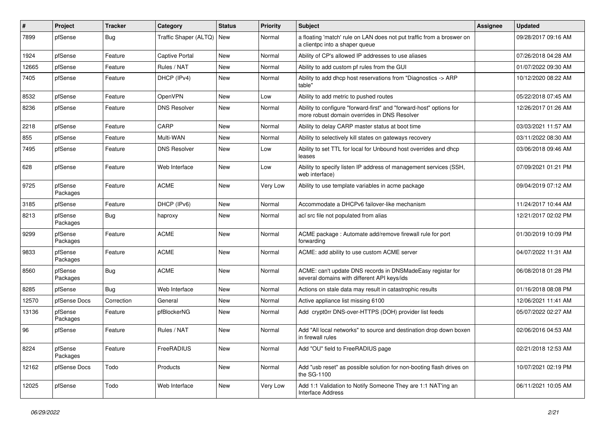| $\sharp$ | <b>Project</b>      | <b>Tracker</b> | Category              | <b>Status</b> | <b>Priority</b> | <b>Subject</b>                                                                                                      | Assignee | <b>Updated</b>      |
|----------|---------------------|----------------|-----------------------|---------------|-----------------|---------------------------------------------------------------------------------------------------------------------|----------|---------------------|
| 7899     | pfSense             | <b>Bug</b>     | Traffic Shaper (ALTQ) | New           | Normal          | a floating 'match' rule on LAN does not put traffic from a broswer on<br>a clientpc into a shaper queue             |          | 09/28/2017 09:16 AM |
| 1924     | pfSense             | Feature        | <b>Captive Portal</b> | New           | Normal          | Ability of CP's allowed IP addresses to use aliases                                                                 |          | 07/26/2018 04:28 AM |
| 12665    | pfSense             | Feature        | Rules / NAT           | New           | Normal          | Ability to add custom pf rules from the GUI                                                                         |          | 01/07/2022 09:30 AM |
| 7405     | pfSense             | Feature        | DHCP (IPv4)           | <b>New</b>    | Normal          | Ability to add dhcp host reservations from "Diagnostics -> ARP<br>table"                                            |          | 10/12/2020 08:22 AM |
| 8532     | pfSense             | Feature        | OpenVPN               | New           | Low             | Ability to add metric to pushed routes                                                                              |          | 05/22/2018 07:45 AM |
| 8236     | pfSense             | Feature        | <b>DNS Resolver</b>   | <b>New</b>    | Normal          | Ability to configure "forward-first" and "forward-host" options for<br>more robust domain overrides in DNS Resolver |          | 12/26/2017 01:26 AM |
| 2218     | pfSense             | Feature        | CARP                  | <b>New</b>    | Normal          | Ability to delay CARP master status at boot time                                                                    |          | 03/03/2021 11:57 AM |
| 855      | pfSense             | Feature        | Multi-WAN             | New           | Normal          | Ability to selectively kill states on gateways recovery                                                             |          | 03/11/2022 08:30 AM |
| 7495     | pfSense             | Feature        | <b>DNS Resolver</b>   | New           | Low             | Ability to set TTL for local for Unbound host overrides and dhcp<br>leases                                          |          | 03/06/2018 09:46 AM |
| 628      | pfSense             | Feature        | Web Interface         | <b>New</b>    | Low             | Ability to specify listen IP address of management services (SSH,<br>web interface)                                 |          | 07/09/2021 01:21 PM |
| 9725     | pfSense<br>Packages | Feature        | <b>ACME</b>           | <b>New</b>    | Very Low        | Ability to use template variables in acme package                                                                   |          | 09/04/2019 07:12 AM |
| 3185     | pfSense             | Feature        | DHCP (IPv6)           | <b>New</b>    | Normal          | Accommodate a DHCPv6 failover-like mechanism                                                                        |          | 11/24/2017 10:44 AM |
| 8213     | pfSense<br>Packages | <b>Bug</b>     | haproxy               | New           | Normal          | acl src file not populated from alias                                                                               |          | 12/21/2017 02:02 PM |
| 9299     | pfSense<br>Packages | Feature        | <b>ACME</b>           | New           | Normal          | ACME package : Automate add/remove firewall rule for port<br>forwarding                                             |          | 01/30/2019 10:09 PM |
| 9833     | pfSense<br>Packages | Feature        | <b>ACME</b>           | New           | Normal          | ACME: add ability to use custom ACME server                                                                         |          | 04/07/2022 11:31 AM |
| 8560     | pfSense<br>Packages | <b>Bug</b>     | <b>ACME</b>           | New           | Normal          | ACME: can't update DNS records in DNSMadeEasy registar for<br>several domains with different API keys/ids           |          | 06/08/2018 01:28 PM |
| 8285     | pfSense             | <b>Bug</b>     | Web Interface         | <b>New</b>    | Normal          | Actions on stale data may result in catastrophic results                                                            |          | 01/16/2018 08:08 PM |
| 12570    | pfSense Docs        | Correction     | General               | New           | Normal          | Active appliance list missing 6100                                                                                  |          | 12/06/2021 11:41 AM |
| 13136    | pfSense<br>Packages | Feature        | pfBlockerNG           | New           | Normal          | Add crypt0rr DNS-over-HTTPS (DOH) provider list feeds                                                               |          | 05/07/2022 02:27 AM |
| 96       | pfSense             | Feature        | Rules / NAT           | New           | Normal          | Add "All local networks" to source and destination drop down boxen<br>in firewall rules                             |          | 02/06/2016 04:53 AM |
| 8224     | pfSense<br>Packages | Feature        | FreeRADIUS            | New           | Normal          | Add "OU" field to FreeRADIUS page                                                                                   |          | 02/21/2018 12:53 AM |
| 12162    | pfSense Docs        | Todo           | Products              | New           | Normal          | Add "usb reset" as possible solution for non-booting flash drives on<br>the SG-1100                                 |          | 10/07/2021 02:19 PM |
| 12025    | pfSense             | Todo           | Web Interface         | New           | Very Low        | Add 1:1 Validation to Notify Someone They are 1:1 NAT'ing an<br>Interface Address                                   |          | 06/11/2021 10:05 AM |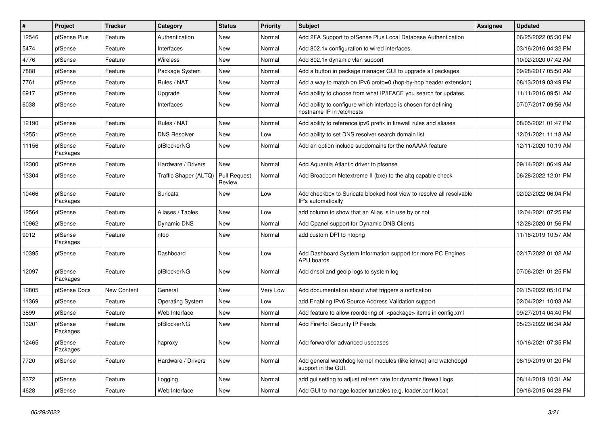| $\sharp$ | Project             | <b>Tracker</b> | Category                | <b>Status</b>                 | <b>Priority</b> | <b>Subject</b>                                                                               | <b>Assignee</b> | <b>Updated</b>      |
|----------|---------------------|----------------|-------------------------|-------------------------------|-----------------|----------------------------------------------------------------------------------------------|-----------------|---------------------|
| 12546    | pfSense Plus        | Feature        | Authentication          | <b>New</b>                    | Normal          | Add 2FA Support to pfSense Plus Local Database Authentication                                |                 | 06/25/2022 05:30 PM |
| 5474     | pfSense             | Feature        | Interfaces              | New                           | Normal          | Add 802.1x configuration to wired interfaces.                                                |                 | 03/16/2016 04:32 PM |
| 4776     | pfSense             | Feature        | Wireless                | New                           | Normal          | Add 802.1x dynamic vlan support                                                              |                 | 10/02/2020 07:42 AM |
| 7888     | pfSense             | Feature        | Package System          | New                           | Normal          | Add a button in package manager GUI to upgrade all packages                                  |                 | 09/28/2017 05:50 AM |
| 7761     | pfSense             | Feature        | Rules / NAT             | New                           | Normal          | Add a way to match on IPv6 proto=0 (hop-by-hop header extension)                             |                 | 08/13/2019 03:49 PM |
| 6917     | pfSense             | Feature        | Upgrade                 | New                           | Normal          | Add ability to choose from what IP/IFACE you search for updates                              |                 | 11/11/2016 09:51 AM |
| 6038     | pfSense             | Feature        | Interfaces              | New                           | Normal          | Add ability to configure which interface is chosen for defining<br>hostname IP in /etc/hosts |                 | 07/07/2017 09:56 AM |
| 12190    | pfSense             | Feature        | Rules / NAT             | New                           | Normal          | Add ability to reference ipv6 prefix in firewall rules and aliases                           |                 | 08/05/2021 01:47 PM |
| 12551    | pfSense             | Feature        | <b>DNS Resolver</b>     | New                           | Low             | Add ability to set DNS resolver search domain list                                           |                 | 12/01/2021 11:18 AM |
| 11156    | pfSense<br>Packages | Feature        | pfBlockerNG             | New                           | Normal          | Add an option include subdomains for the noAAAA feature                                      |                 | 12/11/2020 10:19 AM |
| 12300    | pfSense             | Feature        | Hardware / Drivers      | <b>New</b>                    | Normal          | Add Aquantia Atlantic driver to pfsense                                                      |                 | 09/14/2021 06:49 AM |
| 13304    | pfSense             | Feature        | Traffic Shaper (ALTQ)   | <b>Pull Request</b><br>Review | Normal          | Add Broadcom Netextreme II (bxe) to the altg capable check                                   |                 | 06/28/2022 12:01 PM |
| 10466    | pfSense<br>Packages | Feature        | Suricata                | New                           | Low             | Add checkbox to Suricata blocked host view to resolve all resolvable<br>IP's automatically   |                 | 02/02/2022 06:04 PM |
| 12564    | pfSense             | Feature        | Aliases / Tables        | New                           | Low             | add column to show that an Alias is in use by or not                                         |                 | 12/04/2021 07:25 PM |
| 10962    | pfSense             | Feature        | Dynamic DNS             | New                           | Normal          | Add Cpanel support for Dynamic DNS Clients                                                   |                 | 12/28/2020 01:56 PM |
| 9912     | pfSense<br>Packages | Feature        | ntop                    | New                           | Normal          | add custom DPI to ntopng                                                                     |                 | 11/18/2019 10:57 AM |
| 10395    | pfSense             | Feature        | Dashboard               | <b>New</b>                    | Low             | Add Dashboard System Information support for more PC Engines<br>APU boards                   |                 | 02/17/2022 01:02 AM |
| 12097    | pfSense<br>Packages | Feature        | pfBlockerNG             | New                           | Normal          | Add dnsbl and geoip logs to system log                                                       |                 | 07/06/2021 01:25 PM |
| 12805    | pfSense Docs        | New Content    | General                 | <b>New</b>                    | Very Low        | Add documentation about what triggers a notfication                                          |                 | 02/15/2022 05:10 PM |
| 11369    | pfSense             | Feature        | <b>Operating System</b> | New                           | Low             | add Enabling IPv6 Source Address Validation support                                          |                 | 02/04/2021 10:03 AM |
| 3899     | pfSense             | Feature        | Web Interface           | New                           | Normal          | Add feature to allow reordering of <package> items in config.xml</package>                   |                 | 09/27/2014 04:40 PM |
| 13201    | pfSense<br>Packages | Feature        | pfBlockerNG             | New                           | Normal          | Add FireHol Security IP Feeds                                                                |                 | 05/23/2022 06:34 AM |
| 12465    | pfSense<br>Packages | Feature        | haproxy                 | New                           | Normal          | Add forwardfor advanced usecases                                                             |                 | 10/16/2021 07:35 PM |
| 7720     | pfSense             | Feature        | Hardware / Drivers      | New                           | Normal          | Add general watchdog kernel modules (like ichwd) and watchdogd<br>support in the GUI.        |                 | 08/19/2019 01:20 PM |
| 8372     | pfSense             | Feature        | Logging                 | <b>New</b>                    | Normal          | add gui setting to adjust refresh rate for dynamic firewall logs                             |                 | 08/14/2019 10:31 AM |
| 4628     | pfSense             | Feature        | Web Interface           | New                           | Normal          | Add GUI to manage loader tunables (e.g. loader.conf.local)                                   |                 | 09/16/2015 04:28 PM |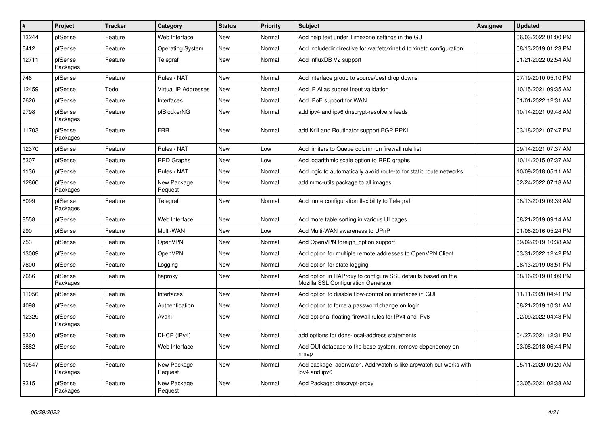| #     | Project             | <b>Tracker</b> | Category                    | <b>Status</b> | <b>Priority</b> | <b>Subject</b>                                                                                      | <b>Assignee</b> | <b>Updated</b>      |
|-------|---------------------|----------------|-----------------------------|---------------|-----------------|-----------------------------------------------------------------------------------------------------|-----------------|---------------------|
| 13244 | pfSense             | Feature        | Web Interface               | <b>New</b>    | Normal          | Add help text under Timezone settings in the GUI                                                    |                 | 06/03/2022 01:00 PM |
| 6412  | pfSense             | Feature        | <b>Operating System</b>     | <b>New</b>    | Normal          | Add includedir directive for /var/etc/xinet.d to xinetd configuration                               |                 | 08/13/2019 01:23 PM |
| 12711 | pfSense<br>Packages | Feature        | Telegraf                    | New           | Normal          | Add InfluxDB V2 support                                                                             |                 | 01/21/2022 02:54 AM |
| 746   | pfSense             | Feature        | Rules / NAT                 | New           | Normal          | Add interface group to source/dest drop downs                                                       |                 | 07/19/2010 05:10 PM |
| 12459 | pfSense             | Todo           | <b>Virtual IP Addresses</b> | New           | Normal          | Add IP Alias subnet input validation                                                                |                 | 10/15/2021 09:35 AM |
| 7626  | pfSense             | Feature        | Interfaces                  | New           | Normal          | Add IPoE support for WAN                                                                            |                 | 01/01/2022 12:31 AM |
| 9798  | pfSense<br>Packages | Feature        | pfBlockerNG                 | New           | Normal          | add ipv4 and ipv6 dnscrypt-resolvers feeds                                                          |                 | 10/14/2021 09:48 AM |
| 11703 | pfSense<br>Packages | Feature        | <b>FRR</b>                  | New           | Normal          | add Krill and Routinator support BGP RPKI                                                           |                 | 03/18/2021 07:47 PM |
| 12370 | pfSense             | Feature        | Rules / NAT                 | New           | Low             | Add limiters to Queue column on firewall rule list                                                  |                 | 09/14/2021 07:37 AM |
| 5307  | pfSense             | Feature        | <b>RRD Graphs</b>           | New           | Low             | Add logarithmic scale option to RRD graphs                                                          |                 | 10/14/2015 07:37 AM |
| 1136  | pfSense             | Feature        | Rules / NAT                 | <b>New</b>    | Normal          | Add logic to automatically avoid route-to for static route networks                                 |                 | 10/09/2018 05:11 AM |
| 12860 | pfSense<br>Packages | Feature        | New Package<br>Request      | <b>New</b>    | Normal          | add mmc-utils package to all images                                                                 |                 | 02/24/2022 07:18 AM |
| 8099  | pfSense<br>Packages | Feature        | Telegraf                    | New           | Normal          | Add more configuration flexibility to Telegraf                                                      |                 | 08/13/2019 09:39 AM |
| 8558  | pfSense             | Feature        | Web Interface               | New           | Normal          | Add more table sorting in various UI pages                                                          |                 | 08/21/2019 09:14 AM |
| 290   | pfSense             | Feature        | Multi-WAN                   | New           | Low             | Add Multi-WAN awareness to UPnP                                                                     |                 | 01/06/2016 05:24 PM |
| 753   | pfSense             | Feature        | OpenVPN                     | New           | Normal          | Add OpenVPN foreign option support                                                                  |                 | 09/02/2019 10:38 AM |
| 13009 | pfSense             | Feature        | OpenVPN                     | New           | Normal          | Add option for multiple remote addresses to OpenVPN Client                                          |                 | 03/31/2022 12:42 PM |
| 7800  | pfSense             | Feature        | Logging                     | New           | Normal          | Add option for state logging                                                                        |                 | 08/13/2019 03:51 PM |
| 7686  | pfSense<br>Packages | Feature        | haproxy                     | New           | Normal          | Add option in HAProxy to configure SSL defaults based on the<br>Mozilla SSL Configuration Generator |                 | 08/16/2019 01:09 PM |
| 11056 | pfSense             | Feature        | Interfaces                  | <b>New</b>    | Normal          | Add option to disable flow-control on interfaces in GUI                                             |                 | 11/11/2020 04:41 PM |
| 4098  | pfSense             | Feature        | Authentication              | <b>New</b>    | Normal          | Add option to force a password change on login                                                      |                 | 08/21/2019 10:31 AM |
| 12329 | pfSense<br>Packages | Feature        | Avahi                       | <b>New</b>    | Normal          | Add optional floating firewall rules for IPv4 and IPv6                                              |                 | 02/09/2022 04:43 PM |
| 8330  | pfSense             | Feature        | DHCP (IPv4)                 | New           | Normal          | add options for ddns-local-address statements                                                       |                 | 04/27/2021 12:31 PM |
| 3882  | pfSense             | Feature        | Web Interface               | New           | Normal          | Add OUI database to the base system, remove dependency on<br>nmap                                   |                 | 03/08/2018 06:44 PM |
| 10547 | pfSense<br>Packages | Feature        | New Package<br>Request      | New           | Normal          | Add package addrwatch. Addrwatch is like arpwatch but works with<br>ipv4 and ipv6                   |                 | 05/11/2020 09:20 AM |
| 9315  | pfSense<br>Packages | Feature        | New Package<br>Request      | New           | Normal          | Add Package: dnscrypt-proxy                                                                         |                 | 03/05/2021 02:38 AM |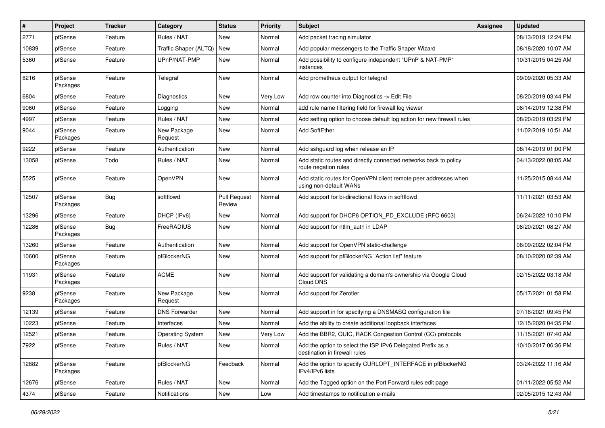| $\sharp$ | Project             | <b>Tracker</b> | Category                | <b>Status</b>                 | <b>Priority</b> | <b>Subject</b>                                                                               | <b>Assignee</b> | <b>Updated</b>      |
|----------|---------------------|----------------|-------------------------|-------------------------------|-----------------|----------------------------------------------------------------------------------------------|-----------------|---------------------|
| 2771     | pfSense             | Feature        | Rules / NAT             | New                           | Normal          | Add packet tracing simulator                                                                 |                 | 08/13/2019 12:24 PM |
| 10839    | pfSense             | Feature        | Traffic Shaper (ALTQ)   | <b>New</b>                    | Normal          | Add popular messengers to the Traffic Shaper Wizard                                          |                 | 08/18/2020 10:07 AM |
| 5360     | pfSense             | Feature        | UPnP/NAT-PMP            | New                           | Normal          | Add possibility to configure independent "UPnP & NAT-PMP"<br>instances                       |                 | 10/31/2015 04:25 AM |
| 8216     | pfSense<br>Packages | Feature        | Telegraf                | New                           | Normal          | Add prometheus output for telegraf                                                           |                 | 09/09/2020 05:33 AM |
| 6804     | pfSense             | Feature        | Diagnostics             | New                           | Very Low        | Add row counter into Diagnostics -> Edit File                                                |                 | 08/20/2019 03:44 PM |
| 9060     | pfSense             | Feature        | Logging                 | <b>New</b>                    | Normal          | add rule name filtering field for firewall log viewer                                        |                 | 08/14/2019 12:38 PM |
| 4997     | pfSense             | Feature        | Rules / NAT             | New                           | Normal          | Add setting option to choose default log action for new firewall rules                       |                 | 08/20/2019 03:29 PM |
| 9044     | pfSense<br>Packages | Feature        | New Package<br>Request  | New                           | Normal          | Add SoftEther                                                                                |                 | 11/02/2019 10:51 AM |
| 9222     | pfSense             | Feature        | Authentication          | New                           | Normal          | Add sshguard log when release an IP                                                          |                 | 08/14/2019 01:00 PM |
| 13058    | pfSense             | Todo           | Rules / NAT             | New                           | Normal          | Add static routes and directly connected networks back to policy<br>route negation rules     |                 | 04/13/2022 08:05 AM |
| 5525     | pfSense             | Feature        | OpenVPN                 | New                           | Normal          | Add static routes for OpenVPN client remote peer addresses when<br>using non-default WANs    |                 | 11/25/2015 08:44 AM |
| 12507    | pfSense<br>Packages | <b>Bug</b>     | softflowd               | <b>Pull Request</b><br>Review | Normal          | Add support for bi-directional flows in softflowd                                            |                 | 11/11/2021 03:53 AM |
| 13296    | pfSense             | Feature        | DHCP (IPv6)             | New                           | Normal          | Add support for DHCP6 OPTION_PD_EXCLUDE (RFC 6603)                                           |                 | 06/24/2022 10:10 PM |
| 12286    | pfSense<br>Packages | <b>Bug</b>     | FreeRADIUS              | New                           | Normal          | Add support for ntlm auth in LDAP                                                            |                 | 08/20/2021 08:27 AM |
| 13260    | pfSense             | Feature        | Authentication          | New                           | Normal          | Add support for OpenVPN static-challenge                                                     |                 | 06/09/2022 02:04 PM |
| 10600    | pfSense<br>Packages | Feature        | pfBlockerNG             | New                           | Normal          | Add support for pfBlockerNG "Action list" feature                                            |                 | 08/10/2020 02:39 AM |
| 11931    | pfSense<br>Packages | Feature        | <b>ACME</b>             | New                           | Normal          | Add support for validating a domain's ownership via Google Cloud<br>Cloud DNS                |                 | 02/15/2022 03:18 AM |
| 9238     | pfSense<br>Packages | Feature        | New Package<br>Request  | New                           | Normal          | Add support for Zerotier                                                                     |                 | 05/17/2021 01:58 PM |
| 12139    | pfSense             | Feature        | <b>DNS Forwarder</b>    | New                           | Normal          | Add support in for specifying a DNSMASQ configuration file                                   |                 | 07/16/2021 09:45 PM |
| 10223    | pfSense             | Feature        | Interfaces              | New                           | Normal          | Add the ability to create additional loopback interfaces                                     |                 | 12/15/2020 04:35 PM |
| 12521    | pfSense             | Feature        | <b>Operating System</b> | New                           | Very Low        | Add the BBR2, QUIC, RACK Congestion Control (CC) protocols                                   |                 | 11/15/2021 07:40 AM |
| 7922     | pfSense             | Feature        | Rules / NAT             | New                           | Normal          | Add the option to select the ISP IPv6 Delegated Prefix as a<br>destination in firewall rules |                 | 10/10/2017 06:36 PM |
| 12882    | pfSense<br>Packages | Feature        | pfBlockerNG             | Feedback                      | Normal          | Add the option to specify CURLOPT INTERFACE in pfBlockerNG<br>IPv4/IPv6 lists                |                 | 03/24/2022 11:16 AM |
| 12676    | pfSense             | Feature        | Rules / NAT             | New                           | Normal          | Add the Tagged option on the Port Forward rules edit page                                    |                 | 01/11/2022 05:52 AM |
| 4374     | pfSense             | Feature        | Notifications           | New                           | Low             | Add timestamps to notification e-mails                                                       |                 | 02/05/2015 12:43 AM |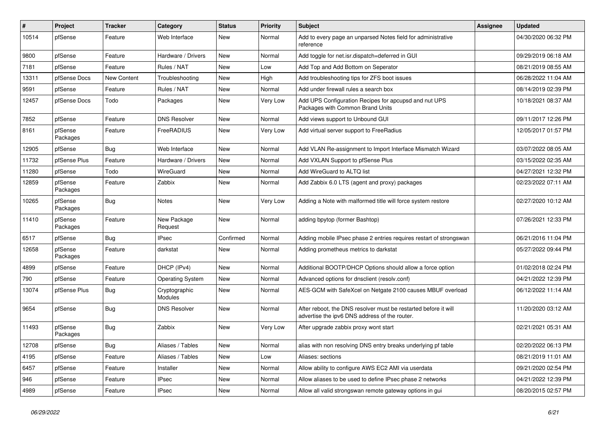| $\vert$ # | Project             | <b>Tracker</b>     | Category                 | <b>Status</b> | <b>Priority</b> | <b>Subject</b>                                                                                                   | Assignee | <b>Updated</b>      |
|-----------|---------------------|--------------------|--------------------------|---------------|-----------------|------------------------------------------------------------------------------------------------------------------|----------|---------------------|
| 10514     | pfSense             | Feature            | Web Interface            | New           | Normal          | Add to every page an unparsed Notes field for administrative<br>reference                                        |          | 04/30/2020 06:32 PM |
| 9800      | pfSense             | Feature            | Hardware / Drivers       | New           | Normal          | Add toggle for net.isr.dispatch=deferred in GUI                                                                  |          | 09/29/2019 06:18 AM |
| 7181      | pfSense             | Feature            | Rules / NAT              | New           | Low             | Add Top and Add Bottom on Seperator                                                                              |          | 08/21/2019 08:55 AM |
| 13311     | pfSense Docs        | <b>New Content</b> | Troubleshooting          | New           | High            | Add troubleshooting tips for ZFS boot issues                                                                     |          | 06/28/2022 11:04 AM |
| 9591      | pfSense             | Feature            | Rules / NAT              | New           | Normal          | Add under firewall rules a search box                                                                            |          | 08/14/2019 02:39 PM |
| 12457     | pfSense Docs        | Todo               | Packages                 | <b>New</b>    | Very Low        | Add UPS Configuration Recipes for apcupsd and nut UPS<br>Packages with Common Brand Units                        |          | 10/18/2021 08:37 AM |
| 7852      | pfSense             | Feature            | <b>DNS Resolver</b>      | New           | Normal          | Add views support to Unbound GUI                                                                                 |          | 09/11/2017 12:26 PM |
| 8161      | pfSense<br>Packages | Feature            | FreeRADIUS               | New           | Very Low        | Add virtual server support to FreeRadius                                                                         |          | 12/05/2017 01:57 PM |
| 12905     | pfSense             | Bug                | Web Interface            | New           | Normal          | Add VLAN Re-assignment to Import Interface Mismatch Wizard                                                       |          | 03/07/2022 08:05 AM |
| 11732     | pfSense Plus        | Feature            | Hardware / Drivers       | New           | Normal          | Add VXLAN Support to pfSense Plus                                                                                |          | 03/15/2022 02:35 AM |
| 11280     | pfSense             | Todo               | WireGuard                | New           | Normal          | Add WireGuard to ALTQ list                                                                                       |          | 04/27/2021 12:32 PM |
| 12859     | pfSense<br>Packages | Feature            | Zabbix                   | New           | Normal          | Add Zabbix 6.0 LTS (agent and proxy) packages                                                                    |          | 02/23/2022 07:11 AM |
| 10265     | pfSense<br>Packages | <b>Bug</b>         | <b>Notes</b>             | <b>New</b>    | Very Low        | Adding a Note with malformed title will force system restore                                                     |          | 02/27/2020 10:12 AM |
| 11410     | pfSense<br>Packages | Feature            | New Package<br>Request   | <b>New</b>    | Normal          | adding bpytop (former Bashtop)                                                                                   |          | 07/26/2021 12:33 PM |
| 6517      | pfSense             | Bug                | <b>IPsec</b>             | Confirmed     | Normal          | Adding mobile IPsec phase 2 entries requires restart of strongswan                                               |          | 06/21/2016 11:04 PM |
| 12658     | pfSense<br>Packages | Feature            | darkstat                 | New           | Normal          | Adding prometheus metrics to darkstat                                                                            |          | 05/27/2022 09:44 PM |
| 4899      | pfSense             | Feature            | DHCP (IPv4)              | New           | Normal          | Additional BOOTP/DHCP Options should allow a force option                                                        |          | 01/02/2018 02:24 PM |
| 790       | pfSense             | Feature            | <b>Operating System</b>  | New           | Normal          | Advanced options for dnsclient (resolv.conf)                                                                     |          | 04/21/2022 12:39 PM |
| 13074     | pfSense Plus        | <b>Bug</b>         | Cryptographic<br>Modules | New           | Normal          | AES-GCM with SafeXcel on Netgate 2100 causes MBUF overload                                                       |          | 06/12/2022 11:14 AM |
| 9654      | pfSense             | <b>Bug</b>         | <b>DNS Resolver</b>      | New           | Normal          | After reboot, the DNS resolver must be restarted before it will<br>advertise the ipv6 DNS address of the router. |          | 11/20/2020 03:12 AM |
| 11493     | pfSense<br>Packages | Bug                | Zabbix                   | New           | Very Low        | After upgrade zabbix proxy wont start                                                                            |          | 02/21/2021 05:31 AM |
| 12708     | pfSense             | Bug                | Aliases / Tables         | New           | Normal          | alias with non resolving DNS entry breaks underlying pf table                                                    |          | 02/20/2022 06:13 PM |
| 4195      | pfSense             | Feature            | Aliases / Tables         | New           | Low             | Aliases: sections                                                                                                |          | 08/21/2019 11:01 AM |
| 6457      | pfSense             | Feature            | Installer                | New           | Normal          | Allow ability to configure AWS EC2 AMI via userdata                                                              |          | 09/21/2020 02:54 PM |
| 946       | pfSense             | Feature            | <b>IPsec</b>             | New           | Normal          | Allow aliases to be used to define IPsec phase 2 networks                                                        |          | 04/21/2022 12:39 PM |
| 4989      | pfSense             | Feature            | <b>IPsec</b>             | New           | Normal          | Allow all valid strongswan remote gateway options in gui                                                         |          | 08/20/2015 02:57 PM |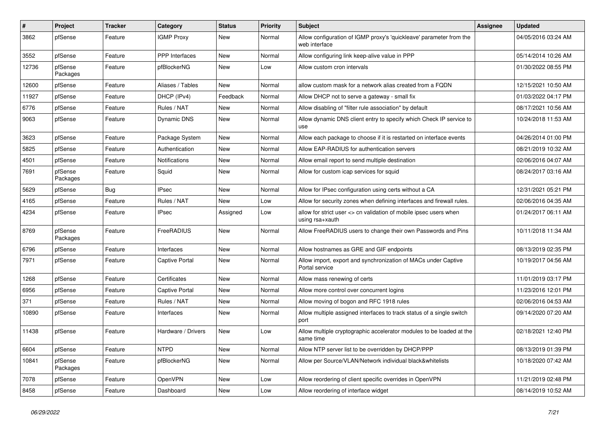| $\pmb{\#}$ | Project             | <b>Tracker</b> | Category              | <b>Status</b> | <b>Priority</b> | <b>Subject</b>                                                                       | Assignee | <b>Updated</b>      |
|------------|---------------------|----------------|-----------------------|---------------|-----------------|--------------------------------------------------------------------------------------|----------|---------------------|
| 3862       | pfSense             | Feature        | <b>IGMP Proxy</b>     | New           | Normal          | Allow configuration of IGMP proxy's 'quickleave' parameter from the<br>web interface |          | 04/05/2016 03:24 AM |
| 3552       | pfSense             | Feature        | <b>PPP</b> Interfaces | New           | Normal          | Allow configuring link keep-alive value in PPP                                       |          | 05/14/2014 10:26 AM |
| 12736      | pfSense<br>Packages | Feature        | pfBlockerNG           | New           | Low             | Allow custom cron intervals                                                          |          | 01/30/2022 08:55 PM |
| 12600      | pfSense             | Feature        | Aliases / Tables      | <b>New</b>    | Normal          | allow custom mask for a network alias created from a FQDN                            |          | 12/15/2021 10:50 AM |
| 11927      | pfSense             | Feature        | DHCP (IPv4)           | Feedback      | Normal          | Allow DHCP not to serve a gateway - small fix                                        |          | 01/03/2022 04:17 PM |
| 6776       | pfSense             | Feature        | Rules / NAT           | New           | Normal          | Allow disabling of "filter rule association" by default                              |          | 08/17/2021 10:56 AM |
| 9063       | pfSense             | Feature        | Dynamic DNS           | New           | Normal          | Allow dynamic DNS client entry to specify which Check IP service to<br>use           |          | 10/24/2018 11:53 AM |
| 3623       | pfSense             | Feature        | Package System        | New           | Normal          | Allow each package to choose if it is restarted on interface events                  |          | 04/26/2014 01:00 PM |
| 5825       | pfSense             | Feature        | Authentication        | New           | Normal          | Allow EAP-RADIUS for authentication servers                                          |          | 08/21/2019 10:32 AM |
| 4501       | pfSense             | Feature        | Notifications         | New           | Normal          | Allow email report to send multiple destination                                      |          | 02/06/2016 04:07 AM |
| 7691       | pfSense<br>Packages | Feature        | Squid                 | New           | Normal          | Allow for custom icap services for squid                                             |          | 08/24/2017 03:16 AM |
| 5629       | pfSense             | <b>Bug</b>     | <b>IPsec</b>          | <b>New</b>    | Normal          | Allow for IPsec configuration using certs without a CA                               |          | 12/31/2021 05:21 PM |
| 4165       | pfSense             | Feature        | Rules / NAT           | <b>New</b>    | Low             | Allow for security zones when defining interfaces and firewall rules.                |          | 02/06/2016 04:35 AM |
| 4234       | pfSense             | Feature        | <b>IPsec</b>          | Assigned      | Low             | allow for strict user <> cn validation of mobile ipsec users when<br>using rsa+xauth |          | 01/24/2017 06:11 AM |
| 8769       | pfSense<br>Packages | Feature        | FreeRADIUS            | New           | Normal          | Allow FreeRADIUS users to change their own Passwords and Pins                        |          | 10/11/2018 11:34 AM |
| 6796       | pfSense             | Feature        | Interfaces            | New           | Normal          | Allow hostnames as GRE and GIF endpoints                                             |          | 08/13/2019 02:35 PM |
| 7971       | pfSense             | Feature        | Captive Portal        | New           | Normal          | Allow import, export and synchronization of MACs under Captive<br>Portal service     |          | 10/19/2017 04:56 AM |
| 1268       | pfSense             | Feature        | Certificates          | New           | Normal          | Allow mass renewing of certs                                                         |          | 11/01/2019 03:17 PM |
| 6956       | pfSense             | Feature        | <b>Captive Portal</b> | New           | Normal          | Allow more control over concurrent logins                                            |          | 11/23/2016 12:01 PM |
| 371        | pfSense             | Feature        | Rules / NAT           | New           | Normal          | Allow moving of bogon and RFC 1918 rules                                             |          | 02/06/2016 04:53 AM |
| 10890      | pfSense             | Feature        | Interfaces            | New           | Normal          | Allow multiple assigned interfaces to track status of a single switch<br>port        |          | 09/14/2020 07:20 AM |
| 11438      | pfSense             | Feature        | Hardware / Drivers    | New           | Low             | Allow multiple cryptographic accelerator modules to be loaded at the<br>same time    |          | 02/18/2021 12:40 PM |
| 6604       | pfSense             | Feature        | <b>NTPD</b>           | <b>New</b>    | Normal          | Allow NTP server list to be overridden by DHCP/PPP                                   |          | 08/13/2019 01:39 PM |
| 10841      | pfSense<br>Packages | Feature        | pfBlockerNG           | New           | Normal          | Allow per Source/VLAN/Network individual black&whitelists                            |          | 10/18/2020 07:42 AM |
| 7078       | pfSense             | Feature        | OpenVPN               | New           | Low             | Allow reordering of client specific overrides in OpenVPN                             |          | 11/21/2019 02:48 PM |
| 8458       | pfSense             | Feature        | Dashboard             | New           | Low             | Allow reordering of interface widget                                                 |          | 08/14/2019 10:52 AM |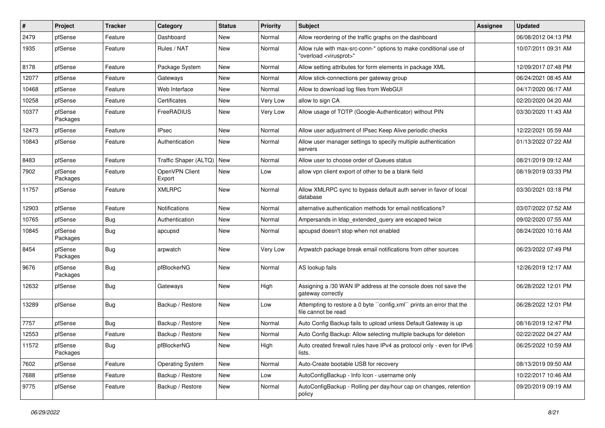| $\vert$ # | Project             | <b>Tracker</b> | Category                  | <b>Status</b> | <b>Priority</b> | Subject                                                                                                 | <b>Assignee</b> | <b>Updated</b>      |
|-----------|---------------------|----------------|---------------------------|---------------|-----------------|---------------------------------------------------------------------------------------------------------|-----------------|---------------------|
| 2479      | pfSense             | Feature        | Dashboard                 | New           | Normal          | Allow reordering of the traffic graphs on the dashboard                                                 |                 | 06/08/2012 04:13 PM |
| 1935      | pfSense             | Feature        | Rules / NAT               | New           | Normal          | Allow rule with max-src-conn-* options to make conditional use of<br>"overload <virusprot>"</virusprot> |                 | 10/07/2011 09:31 AM |
| 8178      | pfSense             | Feature        | Package System            | New           | Normal          | Allow setting attributes for form elements in package XML                                               |                 | 12/09/2017 07:48 PM |
| 12077     | pfSense             | Feature        | Gateways                  | New           | Normal          | Allow stick-connections per gateway group                                                               |                 | 06/24/2021 08:45 AM |
| 10468     | pfSense             | Feature        | Web Interface             | New           | Normal          | Allow to download log files from WebGUI                                                                 |                 | 04/17/2020 06:17 AM |
| 10258     | pfSense             | Feature        | Certificates              | New           | Very Low        | allow to sign CA                                                                                        |                 | 02/20/2020 04:20 AM |
| 10377     | pfSense<br>Packages | Feature        | FreeRADIUS                | New           | Very Low        | Allow usage of TOTP (Google-Authenticator) without PIN                                                  |                 | 03/30/2020 11:43 AM |
| 12473     | pfSense             | Feature        | <b>IPsec</b>              | New           | Normal          | Allow user adjustment of IPsec Keep Alive periodic checks                                               |                 | 12/22/2021 05:59 AM |
| 10843     | pfSense             | Feature        | Authentication            | New           | Normal          | Allow user manager settings to specify multiple authentication<br>servers                               |                 | 01/13/2022 07:22 AM |
| 8483      | pfSense             | Feature        | Traffic Shaper (ALTQ) New |               | Normal          | Allow user to choose order of Queues status                                                             |                 | 08/21/2019 09:12 AM |
| 7902      | pfSense<br>Packages | Feature        | OpenVPN Client<br>Export  | New           | Low             | allow vpn client export of other to be a blank field                                                    |                 | 08/19/2019 03:33 PM |
| 11757     | pfSense             | Feature        | <b>XMLRPC</b>             | New           | Normal          | Allow XMLRPC sync to bypass default auth server in favor of local<br>database                           |                 | 03/30/2021 03:18 PM |
| 12903     | pfSense             | Feature        | Notifications             | New           | Normal          | alternative authentication methods for email notifications?                                             |                 | 03/07/2022 07:52 AM |
| 10765     | pfSense             | <b>Bug</b>     | Authentication            | New           | Normal          | Ampersands in Idap_extended_query are escaped twice                                                     |                 | 09/02/2020 07:55 AM |
| 10845     | pfSense<br>Packages | <b>Bug</b>     | apcupsd                   | New           | Normal          | apcupsd doesn't stop when not enabled                                                                   |                 | 08/24/2020 10:16 AM |
| 8454      | pfSense<br>Packages | <b>Bug</b>     | arpwatch                  | New           | Very Low        | Arpwatch package break email notifications from other sources                                           |                 | 06/23/2022 07:49 PM |
| 9676      | pfSense<br>Packages | <b>Bug</b>     | pfBlockerNG               | New           | Normal          | AS lookup fails                                                                                         |                 | 12/26/2019 12:17 AM |
| 12632     | pfSense             | Bug            | Gateways                  | New           | High            | Assigning a /30 WAN IP address at the console does not save the<br>gateway correctly                    |                 | 06/28/2022 12:01 PM |
| 13289     | pfSense             | Bug            | Backup / Restore          | New           | Low             | Attempting to restore a 0 byte "config.xml" prints an error that the<br>file cannot be read             |                 | 06/28/2022 12:01 PM |
| 7757      | pfSense             | <b>Bug</b>     | Backup / Restore          | New           | Normal          | Auto Config Backup fails to upload unless Default Gateway is up                                         |                 | 08/16/2019 12:47 PM |
| 12553     | pfSense             | Feature        | Backup / Restore          | New           | Normal          | Auto Config Backup: Allow selecting multiple backups for deletion                                       |                 | 02/22/2022 04:27 AM |
| 11572     | pfSense<br>Packages | <b>Bug</b>     | pfBlockerNG               | New           | High            | Auto created firewall rules have IPv4 as protocol only - even for IPv6<br>lists.                        |                 | 06/25/2022 10:59 AM |
| 7602      | pfSense             | Feature        | <b>Operating System</b>   | New           | Normal          | Auto-Create bootable USB for recovery                                                                   |                 | 08/13/2019 09:50 AM |
| 7688      | pfSense             | Feature        | Backup / Restore          | New           | Low             | AutoConfigBackup - Info Icon - username only                                                            |                 | 10/22/2017 10:46 AM |
| 9775      | pfSense             | Feature        | Backup / Restore          | New           | Normal          | AutoConfigBackup - Rolling per day/hour cap on changes, retention<br>policy                             |                 | 09/20/2019 09:19 AM |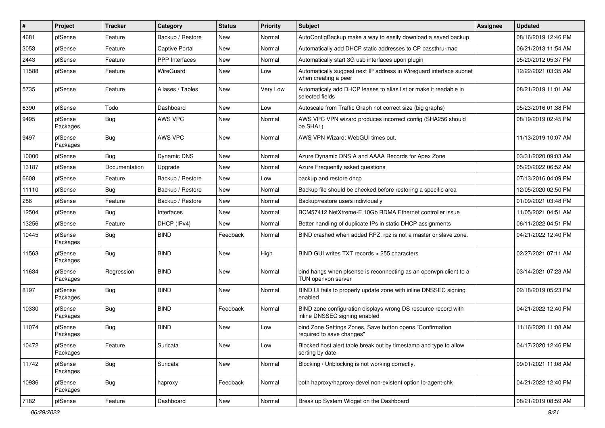| $\vert$ # | Project             | <b>Tracker</b> | Category              | <b>Status</b> | <b>Priority</b> | Subject                                                                                         | Assignee | <b>Updated</b>      |
|-----------|---------------------|----------------|-----------------------|---------------|-----------------|-------------------------------------------------------------------------------------------------|----------|---------------------|
| 4681      | pfSense             | Feature        | Backup / Restore      | New           | Normal          | AutoConfigBackup make a way to easily download a saved backup                                   |          | 08/16/2019 12:46 PM |
| 3053      | pfSense             | Feature        | <b>Captive Portal</b> | New           | Normal          | Automatically add DHCP static addresses to CP passthru-mac                                      |          | 06/21/2013 11:54 AM |
| 2443      | pfSense             | Feature        | PPP Interfaces        | New           | Normal          | Automatically start 3G usb interfaces upon plugin                                               |          | 05/20/2012 05:37 PM |
| 11588     | pfSense             | Feature        | WireGuard             | New           | Low             | Automatically suggest next IP address in Wireguard interface subnet<br>when creating a peer     |          | 12/22/2021 03:35 AM |
| 5735      | pfSense             | Feature        | Aliases / Tables      | New           | Very Low        | Automaticaly add DHCP leases to alias list or make it readable in<br>selected fields            |          | 08/21/2019 11:01 AM |
| 6390      | pfSense             | Todo           | Dashboard             | <b>New</b>    | Low             | Autoscale from Traffic Graph not correct size (big graphs)                                      |          | 05/23/2016 01:38 PM |
| 9495      | pfSense<br>Packages | Bug            | AWS VPC               | New           | Normal          | AWS VPC VPN wizard produces incorrect config (SHA256 should<br>be SHA1)                         |          | 08/19/2019 02:45 PM |
| 9497      | pfSense<br>Packages | <b>Bug</b>     | AWS VPC               | New           | Normal          | AWS VPN Wizard: WebGUI times out.                                                               |          | 11/13/2019 10:07 AM |
| 10000     | pfSense             | <b>Bug</b>     | Dynamic DNS           | <b>New</b>    | Normal          | Azure Dynamic DNS A and AAAA Records for Apex Zone                                              |          | 03/31/2020 09:03 AM |
| 13187     | pfSense             | Documentation  | Upgrade               | New           | Normal          | Azure Frequently asked questions                                                                |          | 05/20/2022 06:52 AM |
| 6608      | pfSense             | Feature        | Backup / Restore      | New           | Low             | backup and restore dhcp                                                                         |          | 07/13/2016 04:09 PM |
| 11110     | pfSense             | <b>Bug</b>     | Backup / Restore      | New           | Normal          | Backup file should be checked before restoring a specific area                                  |          | 12/05/2020 02:50 PM |
| 286       | pfSense             | Feature        | Backup / Restore      | New           | Normal          | Backup/restore users individually                                                               |          | 01/09/2021 03:48 PM |
| 12504     | pfSense             | <b>Bug</b>     | Interfaces            | New           | Normal          | BCM57412 NetXtreme-E 10Gb RDMA Ethernet controller issue                                        |          | 11/05/2021 04:51 AM |
| 13256     | pfSense             | Feature        | DHCP (IPv4)           | New           | Normal          | Better handling of duplicate IPs in static DHCP assignments                                     |          | 06/11/2022 04:51 PM |
| 10445     | pfSense<br>Packages | <b>Bug</b>     | <b>BIND</b>           | Feedback      | Normal          | BIND crashed when added RPZ. rpz is not a master or slave zone.                                 |          | 04/21/2022 12:40 PM |
| 11563     | pfSense<br>Packages | <b>Bug</b>     | <b>BIND</b>           | New           | High            | BIND GUI writes TXT records > 255 characters                                                    |          | 02/27/2021 07:11 AM |
| 11634     | pfSense<br>Packages | Regression     | <b>BIND</b>           | New           | Normal          | bind hangs when pfsense is reconnecting as an openvpn client to a<br>TUN openvpn server         |          | 03/14/2021 07:23 AM |
| 8197      | pfSense<br>Packages | <b>Bug</b>     | <b>BIND</b>           | New           | Normal          | BIND UI fails to properly update zone with inline DNSSEC signing<br>enabled                     |          | 02/18/2019 05:23 PM |
| 10330     | pfSense<br>Packages | <b>Bug</b>     | <b>BIND</b>           | Feedback      | Normal          | BIND zone configuration displays wrong DS resource record with<br>inline DNSSEC signing enabled |          | 04/21/2022 12:40 PM |
| 11074     | pfSense<br>Packages | <b>Bug</b>     | <b>BIND</b>           | New           | Low             | bind Zone Settings Zones, Save button opens "Confirmation<br>required to save changes"          |          | 11/16/2020 11:08 AM |
| 10472     | pfSense<br>Packages | Feature        | Suricata              | New           | Low             | Blocked host alert table break out by timestamp and type to allow<br>sorting by date            |          | 04/17/2020 12:46 PM |
| 11742     | pfSense<br>Packages | <b>Bug</b>     | Suricata              | New           | Normal          | Blocking / Unblocking is not working correctly.                                                 |          | 09/01/2021 11:08 AM |
| 10936     | pfSense<br>Packages | <b>Bug</b>     | haproxy               | Feedback      | Normal          | both haproxy/haproxy-devel non-existent option lb-agent-chk                                     |          | 04/21/2022 12:40 PM |
| 7182      | pfSense             | Feature        | Dashboard             | New           | Normal          | Break up System Widget on the Dashboard                                                         |          | 08/21/2019 08:59 AM |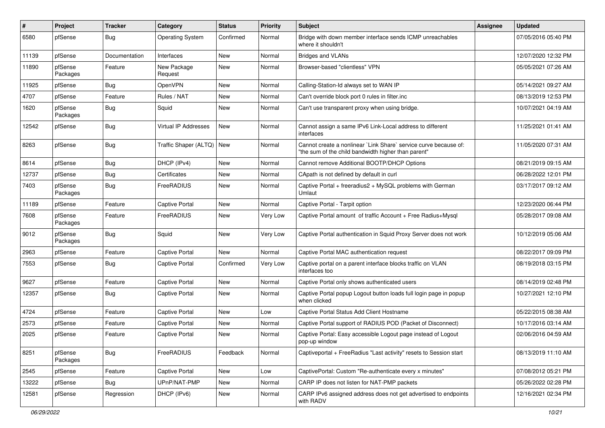| #     | Project             | <b>Tracker</b> | Category                | <b>Status</b> | <b>Priority</b> | <b>Subject</b>                                                                                                          | <b>Assignee</b> | <b>Updated</b>      |
|-------|---------------------|----------------|-------------------------|---------------|-----------------|-------------------------------------------------------------------------------------------------------------------------|-----------------|---------------------|
| 6580  | pfSense             | <b>Bug</b>     | <b>Operating System</b> | Confirmed     | Normal          | Bridge with down member interface sends ICMP unreachables<br>where it shouldn't                                         |                 | 07/05/2016 05:40 PM |
| 11139 | pfSense             | Documentation  | Interfaces              | <b>New</b>    | Normal          | <b>Bridges and VLANs</b>                                                                                                |                 | 12/07/2020 12:32 PM |
| 11890 | pfSense<br>Packages | Feature        | New Package<br>Request  | New           | Normal          | Browser-based "clientless" VPN                                                                                          |                 | 05/05/2021 07:26 AM |
| 11925 | pfSense             | Bug            | OpenVPN                 | New           | Normal          | Calling-Station-Id always set to WAN IP                                                                                 |                 | 05/14/2021 09:27 AM |
| 4707  | pfSense             | Feature        | Rules / NAT             | New           | Normal          | Can't override block port 0 rules in filter.inc                                                                         |                 | 08/13/2019 12:53 PM |
| 1620  | pfSense<br>Packages | Bug            | Squid                   | <b>New</b>    | Normal          | Can't use transparent proxy when using bridge.                                                                          |                 | 10/07/2021 04:19 AM |
| 12542 | pfSense             | <b>Bug</b>     | Virtual IP Addresses    | <b>New</b>    | Normal          | Cannot assign a same IPv6 Link-Local address to different<br>interfaces                                                 |                 | 11/25/2021 01:41 AM |
| 8263  | pfSense             | <b>Bug</b>     | Traffic Shaper (ALTQ)   | New           | Normal          | Cannot create a nonlinear `Link Share` service curve because of:<br>"the sum of the child bandwidth higher than parent" |                 | 11/05/2020 07:31 AM |
| 8614  | pfSense             | <b>Bug</b>     | DHCP (IPv4)             | New           | Normal          | Cannot remove Additional BOOTP/DHCP Options                                                                             |                 | 08/21/2019 09:15 AM |
| 12737 | pfSense             | <b>Bug</b>     | Certificates            | New           | Normal          | CApath is not defined by default in curl                                                                                |                 | 06/28/2022 12:01 PM |
| 7403  | pfSense<br>Packages | <b>Bug</b>     | FreeRADIUS              | <b>New</b>    | Normal          | Captive Portal + freeradius2 + MySQL problems with German<br>Umlaut                                                     |                 | 03/17/2017 09:12 AM |
| 11189 | pfSense             | Feature        | <b>Captive Portal</b>   | <b>New</b>    | Normal          | Captive Portal - Tarpit option                                                                                          |                 | 12/23/2020 06:44 PM |
| 7608  | pfSense<br>Packages | Feature        | FreeRADIUS              | <b>New</b>    | Very Low        | Captive Portal amount of traffic Account + Free Radius+Mysql                                                            |                 | 05/28/2017 09:08 AM |
| 9012  | pfSense<br>Packages | <b>Bug</b>     | Squid                   | New           | Very Low        | Captive Portal authentication in Squid Proxy Server does not work                                                       |                 | 10/12/2019 05:06 AM |
| 2963  | pfSense             | Feature        | <b>Captive Portal</b>   | <b>New</b>    | Normal          | Captive Portal MAC authentication request                                                                               |                 | 08/22/2017 09:09 PM |
| 7553  | pfSense             | Bug            | <b>Captive Portal</b>   | Confirmed     | Very Low        | Captive portal on a parent interface blocks traffic on VLAN<br>interfaces too                                           |                 | 08/19/2018 03:15 PM |
| 9627  | pfSense             | Feature        | <b>Captive Portal</b>   | <b>New</b>    | Normal          | Captive Portal only shows authenticated users                                                                           |                 | 08/14/2019 02:48 PM |
| 12357 | pfSense             | <b>Bug</b>     | Captive Portal          | <b>New</b>    | Normal          | Captive Portal popup Logout button loads full login page in popup<br>when clicked                                       |                 | 10/27/2021 12:10 PM |
| 4724  | pfSense             | Feature        | <b>Captive Portal</b>   | New           | Low             | Captive Portal Status Add Client Hostname                                                                               |                 | 05/22/2015 08:38 AM |
| 2573  | pfSense             | Feature        | <b>Captive Portal</b>   | <b>New</b>    | Normal          | Captive Portal support of RADIUS POD (Packet of Disconnect)                                                             |                 | 10/17/2016 03:14 AM |
| 2025  | pfSense             | Feature        | <b>Captive Portal</b>   | New           | Normal          | Captive Portal: Easy accessible Logout page instead of Logout<br>pop-up window                                          |                 | 02/06/2016 04:59 AM |
| 8251  | pfSense<br>Packages | Bug            | FreeRADIUS              | Feedback      | Normal          | Captiveportal + FreeRadius "Last activity" resets to Session start                                                      |                 | 08/13/2019 11:10 AM |
| 2545  | pfSense             | Feature        | Captive Portal          | New           | Low             | CaptivePortal: Custom "Re-authenticate every x minutes"                                                                 |                 | 07/08/2012 05:21 PM |
| 13222 | pfSense             | <b>Bug</b>     | UPnP/NAT-PMP            | New           | Normal          | CARP IP does not listen for NAT-PMP packets                                                                             |                 | 05/26/2022 02:28 PM |
| 12581 | pfSense             | Regression     | DHCP (IPv6)             | New           | Normal          | CARP IPv6 assigned address does not get advertised to endpoints<br>with RADV                                            |                 | 12/16/2021 02:34 PM |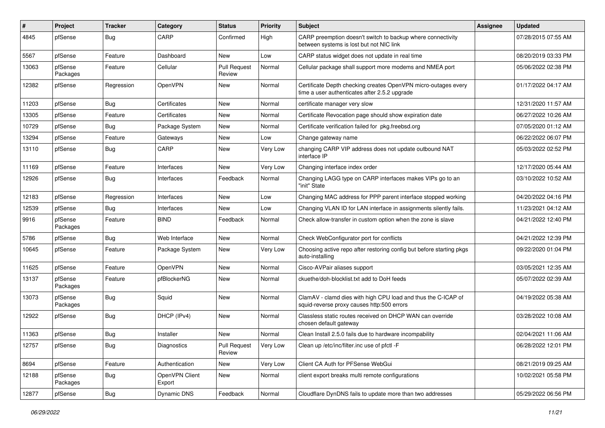| ∦     | Project             | <b>Tracker</b> | Category                 | <b>Status</b>                 | Priority | <b>Subject</b>                                                                                                  | Assignee | <b>Updated</b>      |
|-------|---------------------|----------------|--------------------------|-------------------------------|----------|-----------------------------------------------------------------------------------------------------------------|----------|---------------------|
| 4845  | pfSense             | <b>Bug</b>     | CARP                     | Confirmed                     | High     | CARP preemption doesn't switch to backup where connectivity<br>between systems is lost but not NIC link         |          | 07/28/2015 07:55 AM |
| 5567  | pfSense             | Feature        | Dashboard                | New                           | Low      | CARP status widget does not update in real time                                                                 |          | 08/20/2019 03:33 PM |
| 13063 | pfSense<br>Packages | Feature        | Cellular                 | <b>Pull Request</b><br>Review | Normal   | Cellular package shall support more modems and NMEA port                                                        |          | 05/06/2022 02:38 PM |
| 12382 | pfSense             | Regression     | <b>OpenVPN</b>           | New                           | Normal   | Certificate Depth checking creates OpenVPN micro-outages every<br>time a user authenticates after 2.5.2 upgrade |          | 01/17/2022 04:17 AM |
| 11203 | pfSense             | <b>Bug</b>     | Certificates             | <b>New</b>                    | Normal   | certificate manager very slow                                                                                   |          | 12/31/2020 11:57 AM |
| 13305 | pfSense             | Feature        | Certificates             | New                           | Normal   | Certificate Revocation page should show expiration date                                                         |          | 06/27/2022 10:26 AM |
| 10729 | pfSense             | <b>Bug</b>     | Package System           | New                           | Normal   | Certificate verification failed for pkg.freebsd.org                                                             |          | 07/05/2020 01:12 AM |
| 13294 | pfSense             | Feature        | Gateways                 | New                           | Low      | Change gateway name                                                                                             |          | 06/22/2022 06:07 PM |
| 13110 | pfSense             | <b>Bug</b>     | CARP                     | New                           | Very Low | changing CARP VIP address does not update outbound NAT<br>interface IP                                          |          | 05/03/2022 02:52 PM |
| 11169 | pfSense             | Feature        | Interfaces               | New                           | Very Low | Changing interface index order                                                                                  |          | 12/17/2020 05:44 AM |
| 12926 | pfSense             | <b>Bug</b>     | Interfaces               | Feedback                      | Normal   | Changing LAGG type on CARP interfaces makes VIPs go to an<br>"init" State                                       |          | 03/10/2022 10:52 AM |
| 12183 | pfSense             | Regression     | Interfaces               | New                           | Low      | Changing MAC address for PPP parent interface stopped working                                                   |          | 04/20/2022 04:16 PM |
| 12539 | pfSense             | <b>Bug</b>     | Interfaces               | New                           | Low      | Changing VLAN ID for LAN interface in assignments silently fails.                                               |          | 11/23/2021 04:12 AM |
| 9916  | pfSense<br>Packages | Feature        | <b>BIND</b>              | Feedback                      | Normal   | Check allow-transfer in custom option when the zone is slave                                                    |          | 04/21/2022 12:40 PM |
| 5786  | pfSense             | <b>Bug</b>     | Web Interface            | <b>New</b>                    | Normal   | Check WebConfigurator port for conflicts                                                                        |          | 04/21/2022 12:39 PM |
| 10645 | pfSense             | Feature        | Package System           | New                           | Very Low | Choosing active repo after restoring config but before starting pkgs<br>auto-installing                         |          | 09/22/2020 01:04 PM |
| 11625 | pfSense             | Feature        | OpenVPN                  | <b>New</b>                    | Normal   | Cisco-AVPair aliases support                                                                                    |          | 03/05/2021 12:35 AM |
| 13137 | pfSense<br>Packages | Feature        | pfBlockerNG              | New                           | Normal   | ckuethe/doh-blocklist.txt add to DoH feeds                                                                      |          | 05/07/2022 02:39 AM |
| 13073 | pfSense<br>Packages | <b>Bug</b>     | Squid                    | <b>New</b>                    | Normal   | ClamAV - clamd dies with high CPU load and thus the C-ICAP of<br>squid-reverse proxy causes http:500 errors     |          | 04/19/2022 05:38 AM |
| 12922 | pfSense             | Bug            | DHCP (IPv4)              | <b>New</b>                    | Normal   | Classless static routes received on DHCP WAN can override<br>chosen default gateway                             |          | 03/28/2022 10:08 AM |
| 11363 | pfSense             | <b>Bug</b>     | Installer                | New                           | Normal   | Clean Install 2.5.0 fails due to hardware incompability                                                         |          | 02/04/2021 11:06 AM |
| 12757 | pfSense             | <b>Bug</b>     | Diagnostics              | <b>Pull Request</b><br>Review | Very Low | Clean up /etc/inc/filter.inc use of pfctl -F                                                                    |          | 06/28/2022 12:01 PM |
| 8694  | pfSense             | Feature        | Authentication           | New                           | Very Low | Client CA Auth for PFSense WebGui                                                                               |          | 08/21/2019 09:25 AM |
| 12188 | pfSense<br>Packages | <b>Bug</b>     | OpenVPN Client<br>Export | New                           | Normal   | client export breaks multi remote configurations                                                                |          | 10/02/2021 05:58 PM |
| 12877 | pfSense             | Bug            | Dynamic DNS              | Feedback                      | Normal   | Cloudflare DynDNS fails to update more than two addresses                                                       |          | 05/29/2022 06:56 PM |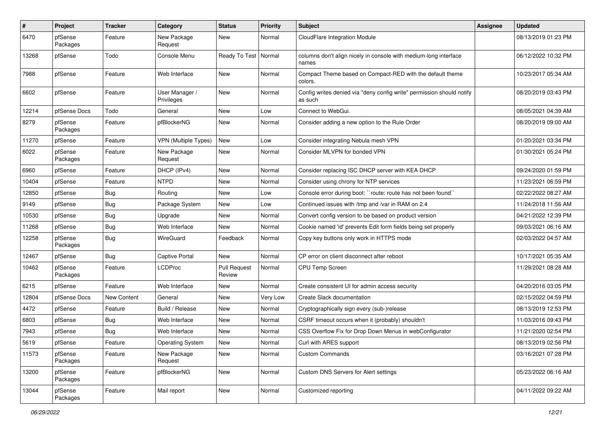| $\sharp$ | <b>Project</b>      | <b>Tracker</b> | Category                     | <b>Status</b>                 | Priority | <b>Subject</b>                                                                   | Assignee | <b>Updated</b>      |
|----------|---------------------|----------------|------------------------------|-------------------------------|----------|----------------------------------------------------------------------------------|----------|---------------------|
| 6470     | pfSense<br>Packages | Feature        | New Package<br>Request       | New                           | Normal   | CloudFlare Integration Module                                                    |          | 08/13/2019 01:23 PM |
| 13268    | pfSense             | Todo           | Console Menu                 | Ready To Test   Normal        |          | columns don't align nicely in console with medium-long interface<br>names        |          | 06/12/2022 10:32 PM |
| 7988     | pfSense             | Feature        | Web Interface                | New                           | Normal   | Compact Theme based on Compact-RED with the default theme<br>colors.             |          | 10/23/2017 05:34 AM |
| 6602     | pfSense             | Feature        | User Manager /<br>Privileges | New                           | Normal   | Config writes denied via "deny config write" permission should notify<br>as such |          | 08/20/2019 03:43 PM |
| 12214    | pfSense Docs        | Todo           | General                      | New                           | Low      | Connect to WebGui.                                                               |          | 08/05/2021 04:39 AM |
| 8279     | pfSense<br>Packages | Feature        | pfBlockerNG                  | New                           | Normal   | Consider adding a new option to the Rule Order                                   |          | 08/20/2019 09:00 AM |
| 11270    | pfSense             | Feature        | <b>VPN (Multiple Types)</b>  | New                           | Low      | Consider integrating Nebula mesh VPN                                             |          | 01/20/2021 03:34 PM |
| 6022     | pfSense<br>Packages | Feature        | New Package<br>Request       | New                           | Normal   | Consider MLVPN for bonded VPN                                                    |          | 01/30/2021 05:24 PM |
| 6960     | pfSense             | Feature        | DHCP (IPv4)                  | New                           | Normal   | Consider replacing ISC DHCP server with KEA DHCP                                 |          | 09/24/2020 01:59 PM |
| 10404    | pfSense             | Feature        | <b>NTPD</b>                  | New                           | Normal   | Consider using chrony for NTP services                                           |          | 11/23/2021 06:59 PM |
| 12850    | pfSense             | Bug            | Routing                      | New                           | Low      | Console error during boot: "route: route has not been found"                     |          | 02/22/2022 08:27 AM |
| 9149     | pfSense             | <b>Bug</b>     | Package System               | New                           | Low      | Continued issues with /tmp and /var in RAM on 2.4                                |          | 11/24/2018 11:56 AM |
| 10530    | pfSense             | <b>Bug</b>     | Upgrade                      | New                           | Normal   | Convert config version to be based on product version                            |          | 04/21/2022 12:39 PM |
| 11268    | pfSense             | <b>Bug</b>     | Web Interface                | New                           | Normal   | Cookie named 'id' prevents Edit form fields being set properly                   |          | 09/03/2021 06:16 AM |
| 12258    | pfSense<br>Packages | <b>Bug</b>     | WireGuard                    | Feedback                      | Normal   | Copy key buttons only work in HTTPS mode                                         |          | 02/03/2022 04:57 AM |
| 12467    | pfSense             | <b>Bug</b>     | <b>Captive Portal</b>        | New                           | Normal   | CP error on client disconnect after reboot                                       |          | 10/17/2021 05:35 AM |
| 10462    | pfSense<br>Packages | Feature        | <b>LCDProc</b>               | <b>Pull Request</b><br>Review | Normal   | <b>CPU Temp Screen</b>                                                           |          | 11/29/2021 08:28 AM |
| 6215     | pfSense             | Feature        | Web Interface                | New                           | Normal   | Create consistent UI for admin access security                                   |          | 04/20/2016 03:05 PM |
| 12804    | pfSense Docs        | New Content    | General                      | New                           | Very Low | Create Slack documentation                                                       |          | 02/15/2022 04:59 PM |
| 4472     | pfSense             | Feature        | Build / Release              | New                           | Normal   | Cryptographically sign every (sub-)release                                       |          | 08/13/2019 12:53 PM |
| 6803     | pfSense             | <b>Bug</b>     | Web Interface                | New                           | Normal   | CSRF timeout occurs when it (probably) shouldn't                                 |          | 11/03/2016 09:43 PM |
| 7943     | pfSense             | <b>Bug</b>     | Web Interface                | New                           | Normal   | CSS Overflow Fix for Drop Down Menus in webConfigurator                          |          | 11/21/2020 02:54 PM |
| 5619     | pfSense             | Feature        | <b>Operating System</b>      | New                           | Normal   | Curl with ARES support                                                           |          | 08/13/2019 02:56 PM |
| 11573    | pfSense<br>Packages | Feature        | New Package<br>Request       | New                           | Normal   | <b>Custom Commands</b>                                                           |          | 03/16/2021 07:28 PM |
| 13200    | pfSense<br>Packages | Feature        | pfBlockerNG                  | New                           | Normal   | Custom DNS Servers for Alert settings                                            |          | 05/23/2022 06:16 AM |
| 13044    | pfSense<br>Packages | Feature        | Mail report                  | New                           | Normal   | Customized reporting                                                             |          | 04/11/2022 09:22 AM |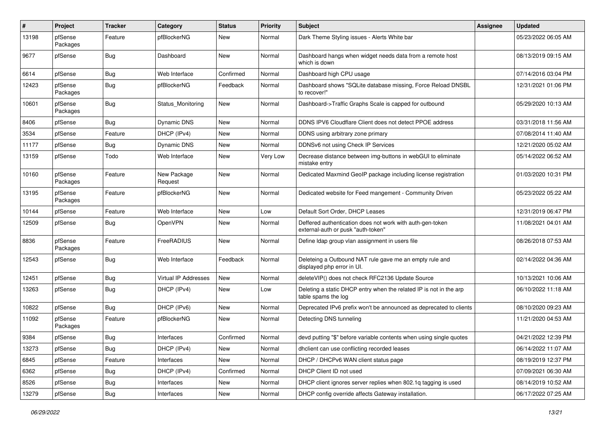| $\pmb{\#}$ | Project             | <b>Tracker</b> | Category               | <b>Status</b> | <b>Priority</b> | <b>Subject</b>                                                                                  | <b>Assignee</b> | <b>Updated</b>      |
|------------|---------------------|----------------|------------------------|---------------|-----------------|-------------------------------------------------------------------------------------------------|-----------------|---------------------|
| 13198      | pfSense<br>Packages | Feature        | pfBlockerNG            | New           | Normal          | Dark Theme Styling issues - Alerts White bar                                                    |                 | 05/23/2022 06:05 AM |
| 9677       | pfSense             | Bug            | Dashboard              | New           | Normal          | Dashboard hangs when widget needs data from a remote host<br>which is down                      |                 | 08/13/2019 09:15 AM |
| 6614       | pfSense             | Bug            | Web Interface          | Confirmed     | Normal          | Dashboard high CPU usage                                                                        |                 | 07/14/2016 03:04 PM |
| 12423      | pfSense<br>Packages | <b>Bug</b>     | pfBlockerNG            | Feedback      | Normal          | Dashboard shows "SQLite database missing, Force Reload DNSBL<br>to recover!"                    |                 | 12/31/2021 01:06 PM |
| 10601      | pfSense<br>Packages | <b>Bug</b>     | Status Monitoring      | New           | Normal          | Dashboard->Traffic Graphs Scale is capped for outbound                                          |                 | 05/29/2020 10:13 AM |
| 8406       | pfSense             | <b>Bug</b>     | Dynamic DNS            | New           | Normal          | DDNS IPV6 Cloudflare Client does not detect PPOE address                                        |                 | 03/31/2018 11:56 AM |
| 3534       | pfSense             | Feature        | DHCP (IPv4)            | New           | Normal          | DDNS using arbitrary zone primary                                                               |                 | 07/08/2014 11:40 AM |
| 11177      | pfSense             | Bug            | Dynamic DNS            | New           | Normal          | DDNSv6 not using Check IP Services                                                              |                 | 12/21/2020 05:02 AM |
| 13159      | pfSense             | Todo           | Web Interface          | New           | Very Low        | Decrease distance between img-buttons in webGUI to eliminate<br>mistake entry                   |                 | 05/14/2022 06:52 AM |
| 10160      | pfSense<br>Packages | Feature        | New Package<br>Request | New           | Normal          | Dedicated Maxmind GeoIP package including license registration                                  |                 | 01/03/2020 10:31 PM |
| 13195      | pfSense<br>Packages | Feature        | pfBlockerNG            | New           | Normal          | Dedicated website for Feed mangement - Community Driven                                         |                 | 05/23/2022 05:22 AM |
| 10144      | pfSense             | Feature        | Web Interface          | New           | Low             | Default Sort Order, DHCP Leases                                                                 |                 | 12/31/2019 06:47 PM |
| 12509      | pfSense             | Bug            | OpenVPN                | New           | Normal          | Deffered authentication does not work with auth-gen-token<br>external-auth or pusk "auth-token" |                 | 11/08/2021 04:01 AM |
| 8836       | pfSense<br>Packages | Feature        | FreeRADIUS             | New           | Normal          | Define Idap group vlan assignment in users file                                                 |                 | 08/26/2018 07:53 AM |
| 12543      | pfSense             | <b>Bug</b>     | Web Interface          | Feedback      | Normal          | Deleteing a Outbound NAT rule gave me an empty rule and<br>displayed php error in UI.           |                 | 02/14/2022 04:36 AM |
| 12451      | pfSense             | <b>Bug</b>     | Virtual IP Addresses   | New           | Normal          | deleteVIP() does not check RFC2136 Update Source                                                |                 | 10/13/2021 10:06 AM |
| 13263      | pfSense             | <b>Bug</b>     | DHCP (IPv4)            | New           | Low             | Deleting a static DHCP entry when the related IP is not in the arp<br>table spams the log       |                 | 06/10/2022 11:18 AM |
| 10822      | pfSense             | Bug            | DHCP (IPv6)            | New           | Normal          | Deprecated IPv6 prefix won't be announced as deprecated to clients                              |                 | 08/10/2020 09:23 AM |
| 11092      | pfSense<br>Packages | Feature        | pfBlockerNG            | New           | Normal          | Detecting DNS tunneling                                                                         |                 | 11/21/2020 04:53 AM |
| 9384       | pfSense             | <b>Bug</b>     | Interfaces             | Confirmed     | Normal          | devd putting "\$" before variable contents when using single quotes                             |                 | 04/21/2022 12:39 PM |
| 13273      | pfSense             | Bug            | DHCP (IPv4)            | New           | Normal          | dhclient can use conflicting recorded leases                                                    |                 | 06/14/2022 11:07 AM |
| 6845       | pfSense             | Feature        | Interfaces             | New           | Normal          | DHCP / DHCPv6 WAN client status page                                                            |                 | 08/19/2019 12:37 PM |
| 6362       | pfSense             | <b>Bug</b>     | DHCP (IPv4)            | Confirmed     | Normal          | DHCP Client ID not used                                                                         |                 | 07/09/2021 06:30 AM |
| 8526       | pfSense             | <b>Bug</b>     | Interfaces             | New           | Normal          | DHCP client ignores server replies when 802.1q tagging is used                                  |                 | 08/14/2019 10:52 AM |
| 13279      | pfSense             | <b>Bug</b>     | Interfaces             | New           | Normal          | DHCP config override affects Gateway installation.                                              |                 | 06/17/2022 07:25 AM |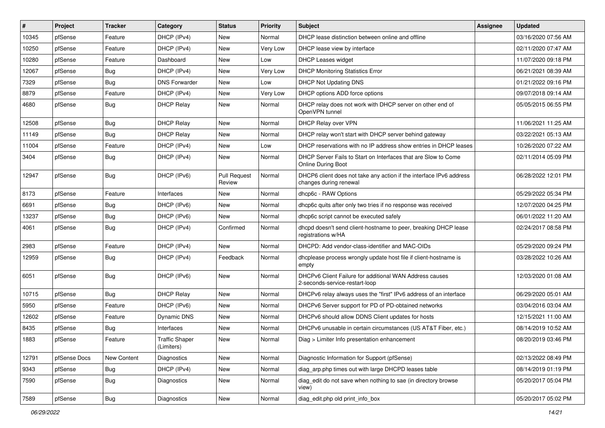| #     | Project      | <b>Tracker</b>   | Category                            | <b>Status</b>                 | <b>Priority</b> | <b>Subject</b>                                                                                | Assignee | <b>Updated</b>      |
|-------|--------------|------------------|-------------------------------------|-------------------------------|-----------------|-----------------------------------------------------------------------------------------------|----------|---------------------|
| 10345 | pfSense      | Feature          | DHCP (IPv4)                         | New                           | Normal          | DHCP lease distinction between online and offline                                             |          | 03/16/2020 07:56 AM |
| 10250 | pfSense      | Feature          | DHCP (IPv4)                         | New                           | Very Low        | DHCP lease view by interface                                                                  |          | 02/11/2020 07:47 AM |
| 10280 | pfSense      | Feature          | Dashboard                           | New                           | Low             | <b>DHCP Leases widget</b>                                                                     |          | 11/07/2020 09:18 PM |
| 12067 | pfSense      | <b>Bug</b>       | DHCP (IPv4)                         | New                           | Very Low        | <b>DHCP Monitoring Statistics Error</b>                                                       |          | 06/21/2021 08:39 AM |
| 7329  | pfSense      | Bug              | <b>DNS Forwarder</b>                | New                           | Low             | <b>DHCP Not Updating DNS</b>                                                                  |          | 01/21/2022 09:16 PM |
| 8879  | pfSense      | Feature          | DHCP (IPv4)                         | New                           | Very Low        | DHCP options ADD force options                                                                |          | 09/07/2018 09:14 AM |
| 4680  | pfSense      | <b>Bug</b>       | <b>DHCP Relay</b>                   | New                           | Normal          | DHCP relay does not work with DHCP server on other end of<br>OpenVPN tunnel                   |          | 05/05/2015 06:55 PM |
| 12508 | pfSense      | Bug              | <b>DHCP Relay</b>                   | New                           | Normal          | DHCP Relay over VPN                                                                           |          | 11/06/2021 11:25 AM |
| 11149 | pfSense      | <b>Bug</b>       | <b>DHCP Relay</b>                   | New                           | Normal          | DHCP relay won't start with DHCP server behind gateway                                        |          | 03/22/2021 05:13 AM |
| 11004 | pfSense      | Feature          | DHCP (IPv4)                         | New                           | Low             | DHCP reservations with no IP address show entries in DHCP leases                              |          | 10/26/2020 07:22 AM |
| 3404  | pfSense      | <b>Bug</b>       | DHCP (IPv4)                         | New                           | Normal          | DHCP Server Fails to Start on Interfaces that are Slow to Come<br><b>Online During Boot</b>   |          | 02/11/2014 05:09 PM |
| 12947 | pfSense      | Bug              | DHCP (IPv6)                         | <b>Pull Request</b><br>Review | Normal          | DHCP6 client does not take any action if the interface IPv6 address<br>changes during renewal |          | 06/28/2022 12:01 PM |
| 8173  | pfSense      | Feature          | Interfaces                          | New                           | Normal          | dhcp6c - RAW Options                                                                          |          | 05/29/2022 05:34 PM |
| 6691  | pfSense      | <b>Bug</b>       | DHCP (IPv6)                         | New                           | Normal          | dhcp6c quits after only two tries if no response was received                                 |          | 12/07/2020 04:25 PM |
| 13237 | pfSense      | <b>Bug</b>       | DHCP (IPv6)                         | New                           | Normal          | dhcp6c script cannot be executed safely                                                       |          | 06/01/2022 11:20 AM |
| 4061  | pfSense      | <b>Bug</b>       | DHCP (IPv4)                         | Confirmed                     | Normal          | dhcpd doesn't send client-hostname to peer, breaking DHCP lease<br>registrations w/HA         |          | 02/24/2017 08:58 PM |
| 2983  | pfSense      | Feature          | DHCP (IPv4)                         | New                           | Normal          | DHCPD: Add vendor-class-identifier and MAC-OIDs                                               |          | 05/29/2020 09:24 PM |
| 12959 | pfSense      | <b>Bug</b>       | DHCP (IPv4)                         | Feedback                      | Normal          | dhcplease process wrongly update host file if client-hostname is<br>empty                     |          | 03/28/2022 10:26 AM |
| 6051  | pfSense      | <b>Bug</b>       | DHCP (IPv6)                         | New                           | Normal          | DHCPv6 Client Failure for additional WAN Address causes<br>2-seconds-service-restart-loop     |          | 12/03/2020 01:08 AM |
| 10715 | pfSense      | Bug              | <b>DHCP Relay</b>                   | New                           | Normal          | DHCPv6 relay always uses the "first" IPv6 address of an interface                             |          | 06/29/2020 05:01 AM |
| 5950  | pfSense      | Feature          | DHCP (IPv6)                         | New                           | Normal          | DHCPv6 Server support for PD of PD-obtained networks                                          |          | 03/04/2016 03:04 AM |
| 12602 | pfSense      | Feature          | Dynamic DNS                         | New                           | Normal          | DHCPv6 should allow DDNS Client updates for hosts                                             |          | 12/15/2021 11:00 AM |
| 8435  | pfSense      | <b>Bug</b>       | Interfaces                          | <b>New</b>                    | Normal          | DHCPv6 unusable in certain circumstances (US AT&T Fiber, etc.)                                |          | 08/14/2019 10:52 AM |
| 1883  | pfSense      | Feature          | <b>Traffic Shaper</b><br>(Limiters) | New                           | Normal          | Diag > Limiter Info presentation enhancement                                                  |          | 08/20/2019 03:46 PM |
| 12791 | pfSense Docs | New Content      | Diagnostics                         | New                           | Normal          | Diagnostic Information for Support (pfSense)                                                  |          | 02/13/2022 08:49 PM |
| 9343  | pfSense      | <b>Bug</b>       | DHCP (IPv4)                         | New                           | Normal          | diag_arp.php times out with large DHCPD leases table                                          |          | 08/14/2019 01:19 PM |
| 7590  | pfSense      | Bug              | Diagnostics                         | New                           | Normal          | diag_edit do not save when nothing to sae (in directory browse<br>view)                       |          | 05/20/2017 05:04 PM |
| 7589  | pfSense      | <sub>I</sub> Bug | Diagnostics                         | New                           | Normal          | diag_edit.php old print_info_box                                                              |          | 05/20/2017 05:02 PM |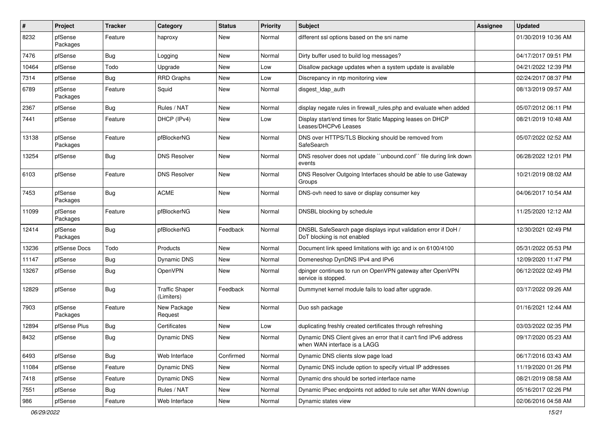| #     | <b>Project</b>      | <b>Tracker</b> | Category                            | <b>Status</b> | <b>Priority</b> | <b>Subject</b>                                                                                    | <b>Assignee</b> | <b>Updated</b>      |
|-------|---------------------|----------------|-------------------------------------|---------------|-----------------|---------------------------------------------------------------------------------------------------|-----------------|---------------------|
| 8232  | pfSense<br>Packages | Feature        | haproxy                             | New           | Normal          | different ssl options based on the sni name                                                       |                 | 01/30/2019 10:36 AM |
| 7476  | pfSense             | <b>Bug</b>     | Logging                             | New           | Normal          | Dirty buffer used to build log messages?                                                          |                 | 04/17/2017 09:51 PM |
| 10464 | pfSense             | Todo           | Upgrade                             | New           | Low             | Disallow package updates when a system update is available                                        |                 | 04/21/2022 12:39 PM |
| 7314  | pfSense             | <b>Bug</b>     | <b>RRD Graphs</b>                   | New           | Low             | Discrepancy in ntp monitoring view                                                                |                 | 02/24/2017 08:37 PM |
| 6789  | pfSense<br>Packages | Feature        | Squid                               | New           | Normal          | disgest_ldap_auth                                                                                 |                 | 08/13/2019 09:57 AM |
| 2367  | pfSense             | <b>Bug</b>     | Rules / NAT                         | New           | Normal          | display negate rules in firewall rules.php and evaluate when added                                |                 | 05/07/2012 06:11 PM |
| 7441  | pfSense             | Feature        | DHCP (IPv4)                         | New           | Low             | Display start/end times for Static Mapping leases on DHCP<br>Leases/DHCPv6 Leases                 |                 | 08/21/2019 10:48 AM |
| 13138 | pfSense<br>Packages | Feature        | pfBlockerNG                         | New           | Normal          | DNS over HTTPS/TLS Blocking should be removed from<br>SafeSearch                                  |                 | 05/07/2022 02:52 AM |
| 13254 | pfSense             | <b>Bug</b>     | <b>DNS Resolver</b>                 | New           | Normal          | DNS resolver does not update "unbound.conf" file during link down<br>events                       |                 | 06/28/2022 12:01 PM |
| 6103  | pfSense             | Feature        | <b>DNS Resolver</b>                 | New           | Normal          | DNS Resolver Outgoing Interfaces should be able to use Gateway<br>Groups                          |                 | 10/21/2019 08:02 AM |
| 7453  | pfSense<br>Packages | Bug            | <b>ACME</b>                         | New           | Normal          | DNS-ovh need to save or display consumer key                                                      |                 | 04/06/2017 10:54 AM |
| 11099 | pfSense<br>Packages | Feature        | pfBlockerNG                         | New           | Normal          | DNSBL blocking by schedule                                                                        |                 | 11/25/2020 12:12 AM |
| 12414 | pfSense<br>Packages | <b>Bug</b>     | pfBlockerNG                         | Feedback      | Normal          | DNSBL SafeSearch page displays input validation error if DoH /<br>DoT blocking is not enabled     |                 | 12/30/2021 02:49 PM |
| 13236 | pfSense Docs        | Todo           | Products                            | <b>New</b>    | Normal          | Document link speed limitations with igc and ix on 6100/4100                                      |                 | 05/31/2022 05:53 PM |
| 11147 | pfSense             | <b>Bug</b>     | Dynamic DNS                         | New           | Normal          | Domeneshop DynDNS IPv4 and IPv6                                                                   |                 | 12/09/2020 11:47 PM |
| 13267 | pfSense             | <b>Bug</b>     | <b>OpenVPN</b>                      | New           | Normal          | dpinger continues to run on OpenVPN gateway after OpenVPN<br>service is stopped.                  |                 | 06/12/2022 02:49 PM |
| 12829 | pfSense             | <b>Bug</b>     | <b>Traffic Shaper</b><br>(Limiters) | Feedback      | Normal          | Dummynet kernel module fails to load after upgrade.                                               |                 | 03/17/2022 09:26 AM |
| 7903  | pfSense<br>Packages | Feature        | New Package<br>Request              | New           | Normal          | Duo ssh package                                                                                   |                 | 01/16/2021 12:44 AM |
| 12894 | pfSense Plus        | <b>Bug</b>     | Certificates                        | New           | Low             | duplicating freshly created certificates through refreshing                                       |                 | 03/03/2022 02:35 PM |
| 8432  | pfSense             | <b>Bug</b>     | Dynamic DNS                         | New           | Normal          | Dynamic DNS Client gives an error that it can't find IPv6 address<br>when WAN interface is a LAGG |                 | 09/17/2020 05:23 AM |
| 6493  | pfSense             | <b>Bug</b>     | Web Interface                       | Confirmed     | Normal          | Dynamic DNS clients slow page load                                                                |                 | 06/17/2016 03:43 AM |
| 11084 | pfSense             | Feature        | Dynamic DNS                         | New           | Normal          | Dynamic DNS include option to specify virtual IP addresses                                        |                 | 11/19/2020 01:26 PM |
| 7418  | pfSense             | Feature        | Dynamic DNS                         | New           | Normal          | Dynamic dns should be sorted interface name                                                       |                 | 08/21/2019 08:58 AM |
| 7551  | pfSense             | <b>Bug</b>     | Rules / NAT                         | New           | Normal          | Dynamic IPsec endpoints not added to rule set after WAN down/up                                   |                 | 05/16/2017 02:26 PM |
| 986   | pfSense             | Feature        | Web Interface                       | New           | Normal          | Dynamic states view                                                                               |                 | 02/06/2016 04:58 AM |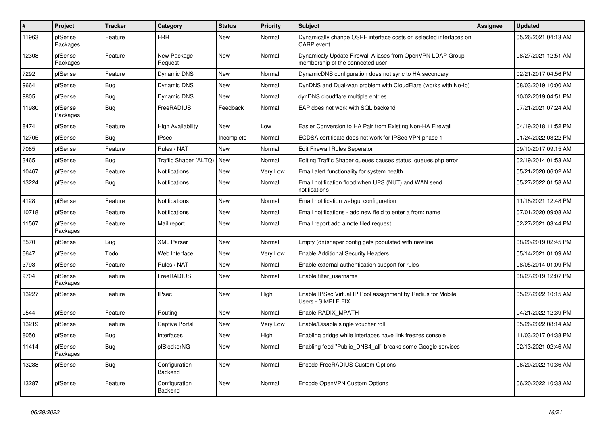| $\vert$ # | Project             | <b>Tracker</b> | Category                 | <b>Status</b> | <b>Priority</b> | <b>Subject</b>                                                                                 | <b>Assignee</b> | <b>Updated</b>      |
|-----------|---------------------|----------------|--------------------------|---------------|-----------------|------------------------------------------------------------------------------------------------|-----------------|---------------------|
| 11963     | pfSense<br>Packages | Feature        | <b>FRR</b>               | New           | Normal          | Dynamically change OSPF interface costs on selected interfaces on<br><b>CARP</b> event         |                 | 05/26/2021 04:13 AM |
| 12308     | pfSense<br>Packages | Feature        | New Package<br>Request   | New           | Normal          | Dynamicaly Update Firewall Aliases from OpenVPN LDAP Group<br>membership of the connected user |                 | 08/27/2021 12:51 AM |
| 7292      | pfSense             | Feature        | Dynamic DNS              | <b>New</b>    | Normal          | DynamicDNS configuration does not sync to HA secondary                                         |                 | 02/21/2017 04:56 PM |
| 9664      | pfSense             | Bug            | Dynamic DNS              | <b>New</b>    | Normal          | DynDNS and Dual-wan problem with CloudFlare (works with No-lp)                                 |                 | 08/03/2019 10:00 AM |
| 9805      | pfSense             | Bug            | Dynamic DNS              | New           | Normal          | dynDNS cloudflare multiple entries                                                             |                 | 10/02/2019 04:51 PM |
| 11980     | pfSense<br>Packages | Bug            | FreeRADIUS               | Feedback      | Normal          | EAP does not work with SQL backend                                                             |                 | 07/21/2021 07:24 AM |
| 8474      | pfSense             | Feature        | <b>High Availability</b> | <b>New</b>    | Low             | Easier Conversion to HA Pair from Existing Non-HA Firewall                                     |                 | 04/19/2018 11:52 PM |
| 12705     | pfSense             | Bug            | <b>IPsec</b>             | Incomplete    | Normal          | ECDSA certificate does not work for IPSec VPN phase 1                                          |                 | 01/24/2022 03:22 PM |
| 7085      | pfSense             | Feature        | Rules / NAT              | New           | Normal          | <b>Edit Firewall Rules Seperator</b>                                                           |                 | 09/10/2017 09:15 AM |
| 3465      | pfSense             | <b>Bug</b>     | Traffic Shaper (ALTQ)    | New           | Normal          | Editing Traffic Shaper queues causes status queues.php error                                   |                 | 02/19/2014 01:53 AM |
| 10467     | pfSense             | Feature        | Notifications            | New           | Very Low        | Email alert functionality for system health                                                    |                 | 05/21/2020 06:02 AM |
| 13224     | pfSense             | <b>Bug</b>     | <b>Notifications</b>     | New           | Normal          | Email notification flood when UPS (NUT) and WAN send<br>notifications                          |                 | 05/27/2022 01:58 AM |
| 4128      | pfSense             | Feature        | <b>Notifications</b>     | New           | Normal          | Email notification webgui configuration                                                        |                 | 11/18/2021 12:48 PM |
| 10718     | pfSense             | Feature        | <b>Notifications</b>     | New           | Normal          | Email notifications - add new field to enter a from: name                                      |                 | 07/01/2020 09:08 AM |
| 11567     | pfSense<br>Packages | Feature        | Mail report              | New           | Normal          | Email report add a note filed request                                                          |                 | 02/27/2021 03:44 PM |
| 8570      | pfSense             | Bug            | <b>XML Parser</b>        | New           | Normal          | Empty (dn)shaper config gets populated with newline                                            |                 | 08/20/2019 02:45 PM |
| 6647      | pfSense             | Todo           | Web Interface            | <b>New</b>    | Very Low        | <b>Enable Additional Security Headers</b>                                                      |                 | 05/14/2021 01:09 AM |
| 3793      | pfSense             | Feature        | Rules / NAT              | New           | Normal          | Enable external authentication support for rules                                               |                 | 08/05/2014 01:09 PM |
| 9704      | pfSense<br>Packages | Feature        | FreeRADIUS               | <b>New</b>    | Normal          | Enable filter username                                                                         |                 | 08/27/2019 12:07 PM |
| 13227     | pfSense             | Feature        | <b>IPsec</b>             | <b>New</b>    | High            | Enable IPSec Virtual IP Pool assignment by Radius for Mobile<br>Users - SIMPLE FIX             |                 | 05/27/2022 10:15 AM |
| 9544      | pfSense             | Feature        | Routing                  | New           | Normal          | Enable RADIX MPATH                                                                             |                 | 04/21/2022 12:39 PM |
| 13219     | pfSense             | Feature        | <b>Captive Portal</b>    | New           | Very Low        | Enable/Disable single voucher roll                                                             |                 | 05/26/2022 08:14 AM |
| 8050      | pfSense             | Bug            | Interfaces               | New           | High            | Enabling bridge while interfaces have link freezes console                                     |                 | 11/03/2017 04:38 PM |
| 11414     | pfSense<br>Packages | <b>Bug</b>     | pfBlockerNG              | New           | Normal          | Enabling feed "Public DNS4 all" breaks some Google services                                    |                 | 02/13/2021 02:46 AM |
| 13288     | pfSense             | <b>Bug</b>     | Configuration<br>Backend | New           | Normal          | Encode FreeRADIUS Custom Options                                                               |                 | 06/20/2022 10:36 AM |
| 13287     | pfSense             | Feature        | Configuration<br>Backend | New           | Normal          | Encode OpenVPN Custom Options                                                                  |                 | 06/20/2022 10:33 AM |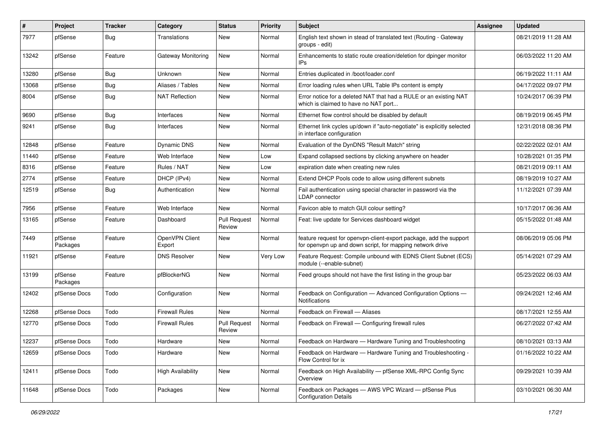| #     | <b>Project</b>      | <b>Tracker</b> | Category                 | <b>Status</b>                 | Priority | <b>Subject</b>                                                                                                                  | Assignee | <b>Updated</b>      |
|-------|---------------------|----------------|--------------------------|-------------------------------|----------|---------------------------------------------------------------------------------------------------------------------------------|----------|---------------------|
| 7977  | pfSense             | <b>Bug</b>     | Translations             | New                           | Normal   | English text shown in stead of translated text (Routing - Gateway<br>groups - edit)                                             |          | 08/21/2019 11:28 AM |
| 13242 | pfSense             | Feature        | Gateway Monitoring       | New                           | Normal   | Enhancements to static route creation/deletion for dpinger monitor<br>IPs.                                                      |          | 06/03/2022 11:20 AM |
| 13280 | pfSense             | <b>Bug</b>     | Unknown                  | <b>New</b>                    | Normal   | Entries duplicated in /boot/loader.conf                                                                                         |          | 06/19/2022 11:11 AM |
| 13068 | pfSense             | <b>Bug</b>     | Aliases / Tables         | New                           | Normal   | Error loading rules when URL Table IPs content is empty                                                                         |          | 04/17/2022 09:07 PM |
| 8004  | pfSense             | Bug            | <b>NAT Reflection</b>    | New                           | Normal   | Error notice for a deleted NAT that had a RULE or an existing NAT<br>which is claimed to have no NAT port                       |          | 10/24/2017 06:39 PM |
| 9690  | pfSense             | <b>Bug</b>     | Interfaces               | New                           | Normal   | Ethernet flow control should be disabled by default                                                                             |          | 08/19/2019 06:45 PM |
| 9241  | pfSense             | <b>Bug</b>     | Interfaces               | <b>New</b>                    | Normal   | Ethernet link cycles up/down if "auto-negotiate" is explicitly selected<br>in interface configuration                           |          | 12/31/2018 08:36 PM |
| 12848 | pfSense             | Feature        | Dynamic DNS              | New                           | Normal   | Evaluation of the DynDNS "Result Match" string                                                                                  |          | 02/22/2022 02:01 AM |
| 11440 | pfSense             | Feature        | Web Interface            | New                           | Low      | Expand collapsed sections by clicking anywhere on header                                                                        |          | 10/28/2021 01:35 PM |
| 8316  | pfSense             | Feature        | Rules / NAT              | New                           | Low      | expiration date when creating new rules                                                                                         |          | 08/21/2019 09:11 AM |
| 2774  | pfSense             | Feature        | DHCP (IPv4)              | New                           | Normal   | Extend DHCP Pools code to allow using different subnets                                                                         |          | 08/19/2019 10:27 AM |
| 12519 | pfSense             | <b>Bug</b>     | Authentication           | New                           | Normal   | Fail authentication using special character in password via the<br>LDAP connector                                               |          | 11/12/2021 07:39 AM |
| 7956  | pfSense             | Feature        | Web Interface            | New                           | Normal   | Favicon able to match GUI colour setting?                                                                                       |          | 10/17/2017 06:36 AM |
| 13165 | pfSense             | Feature        | Dashboard                | <b>Pull Request</b><br>Review | Normal   | Feat: live update for Services dashboard widget                                                                                 |          | 05/15/2022 01:48 AM |
| 7449  | pfSense<br>Packages | Feature        | OpenVPN Client<br>Export | New                           | Normal   | feature request for openvpn-client-export package, add the support<br>for openvpn up and down script, for mapping network drive |          | 08/06/2019 05:06 PM |
| 11921 | pfSense             | Feature        | <b>DNS Resolver</b>      | New                           | Very Low | Feature Request: Compile unbound with EDNS Client Subnet (ECS)<br>module (--enable-subnet)                                      |          | 05/14/2021 07:29 AM |
| 13199 | pfSense<br>Packages | Feature        | pfBlockerNG              | New                           | Normal   | Feed groups should not have the first listing in the group bar                                                                  |          | 05/23/2022 06:03 AM |
| 12402 | pfSense Docs        | Todo           | Configuration            | New                           | Normal   | Feedback on Configuration - Advanced Configuration Options -<br>Notifications                                                   |          | 09/24/2021 12:46 AM |
| 12268 | pfSense Docs        | Todo           | <b>Firewall Rules</b>    | <b>New</b>                    | Normal   | Feedback on Firewall - Aliases                                                                                                  |          | 08/17/2021 12:55 AM |
| 12770 | pfSense Docs        | Todo           | <b>Firewall Rules</b>    | <b>Pull Request</b><br>Review | Normal   | Feedback on Firewall — Configuring firewall rules                                                                               |          | 06/27/2022 07:42 AM |
| 12237 | pfSense Docs        | Todo           | Hardware                 | New                           | Normal   | Feedback on Hardware - Hardware Tuning and Troubleshooting                                                                      |          | 08/10/2021 03:13 AM |
| 12659 | pfSense Docs        | Todo           | Hardware                 | New                           | Normal   | Feedback on Hardware - Hardware Tuning and Troubleshooting -<br>Flow Control for ix                                             |          | 01/16/2022 10:22 AM |
| 12411 | pfSense Docs        | Todo           | <b>High Availability</b> | New                           | Normal   | Feedback on High Availability - pfSense XML-RPC Config Sync<br>Overview                                                         |          | 09/29/2021 10:39 AM |
| 11648 | pfSense Docs        | Todo           | Packages                 | New                           | Normal   | Feedback on Packages - AWS VPC Wizard - pfSense Plus<br><b>Configuration Details</b>                                            |          | 03/10/2021 06:30 AM |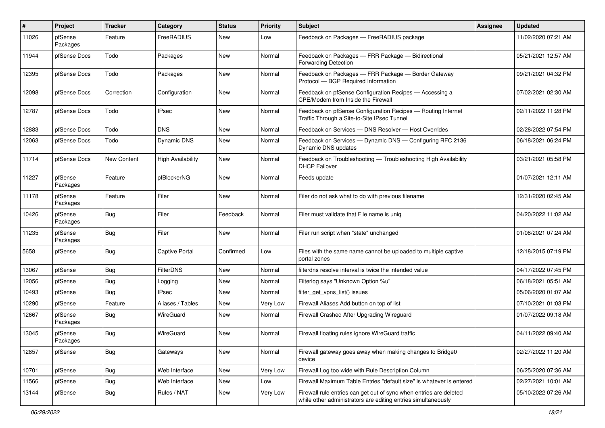| #     | Project             | <b>Tracker</b> | Category                 | <b>Status</b> | <b>Priority</b> | <b>Subject</b>                                                                                                                      | <b>Assignee</b> | <b>Updated</b>      |
|-------|---------------------|----------------|--------------------------|---------------|-----------------|-------------------------------------------------------------------------------------------------------------------------------------|-----------------|---------------------|
| 11026 | pfSense<br>Packages | Feature        | FreeRADIUS               | New           | Low             | Feedback on Packages - FreeRADIUS package                                                                                           |                 | 11/02/2020 07:21 AM |
| 11944 | pfSense Docs        | Todo           | Packages                 | New           | Normal          | Feedback on Packages - FRR Package - Bidirectional<br>Forwarding Detection                                                          |                 | 05/21/2021 12:57 AM |
| 12395 | pfSense Docs        | Todo           | Packages                 | <b>New</b>    | Normal          | Feedback on Packages - FRR Package - Border Gateway<br>Protocol - BGP Required Information                                          |                 | 09/21/2021 04:32 PM |
| 12098 | pfSense Docs        | Correction     | Configuration            | <b>New</b>    | Normal          | Feedback on pfSense Configuration Recipes - Accessing a<br>CPE/Modem from Inside the Firewall                                       |                 | 07/02/2021 02:30 AM |
| 12787 | pfSense Docs        | Todo           | <b>IPsec</b>             | <b>New</b>    | Normal          | Feedback on pfSense Configuration Recipes - Routing Internet<br>Traffic Through a Site-to-Site IPsec Tunnel                         |                 | 02/11/2022 11:28 PM |
| 12883 | pfSense Docs        | Todo           | <b>DNS</b>               | <b>New</b>    | Normal          | Feedback on Services - DNS Resolver - Host Overrides                                                                                |                 | 02/28/2022 07:54 PM |
| 12063 | pfSense Docs        | Todo           | <b>Dynamic DNS</b>       | New           | Normal          | Feedback on Services - Dynamic DNS - Configuring RFC 2136<br>Dynamic DNS updates                                                    |                 | 06/18/2021 06:24 PM |
| 11714 | pfSense Docs        | New Content    | <b>High Availability</b> | <b>New</b>    | Normal          | Feedback on Troubleshooting - Troubleshooting High Availability<br><b>DHCP Failover</b>                                             |                 | 03/21/2021 05:58 PM |
| 11227 | pfSense<br>Packages | Feature        | pfBlockerNG              | <b>New</b>    | Normal          | Feeds update                                                                                                                        |                 | 01/07/2021 12:11 AM |
| 11178 | pfSense<br>Packages | Feature        | Filer                    | <b>New</b>    | Normal          | Filer do not ask what to do with previous filename                                                                                  |                 | 12/31/2020 02:45 AM |
| 10426 | pfSense<br>Packages | <b>Bug</b>     | Filer                    | Feedback      | Normal          | Filer must validate that File name is unig                                                                                          |                 | 04/20/2022 11:02 AM |
| 11235 | pfSense<br>Packages | <b>Bug</b>     | Filer                    | <b>New</b>    | Normal          | Filer run script when "state" unchanged                                                                                             |                 | 01/08/2021 07:24 AM |
| 5658  | pfSense             | <b>Bug</b>     | <b>Captive Portal</b>    | Confirmed     | Low             | Files with the same name cannot be uploaded to multiple captive<br>portal zones                                                     |                 | 12/18/2015 07:19 PM |
| 13067 | pfSense             | <b>Bug</b>     | FilterDNS                | New           | Normal          | filterdns resolve interval is twice the intended value                                                                              |                 | 04/17/2022 07:45 PM |
| 12056 | pfSense             | <b>Bug</b>     | Logging                  | <b>New</b>    | Normal          | Filterlog says "Unknown Option %u"                                                                                                  |                 | 06/18/2021 05:51 AM |
| 10493 | pfSense             | <b>Bug</b>     | IPsec                    | New           | Normal          | filter_get_vpns_list() issues                                                                                                       |                 | 05/06/2020 01:07 AM |
| 10290 | pfSense             | Feature        | Aliases / Tables         | New           | Very Low        | Firewall Aliases Add button on top of list                                                                                          |                 | 07/10/2021 01:03 PM |
| 12667 | pfSense<br>Packages | Bug            | WireGuard                | New           | Normal          | Firewall Crashed After Upgrading Wireguard                                                                                          |                 | 01/07/2022 09:18 AM |
| 13045 | pfSense<br>Packages | <b>Bug</b>     | WireGuard                | <b>New</b>    | Normal          | Firewall floating rules ignore WireGuard traffic                                                                                    |                 | 04/11/2022 09:40 AM |
| 12857 | pfSense             | Bug            | Gateways                 | New           | Normal          | Firewall gateway goes away when making changes to Bridge0<br>device                                                                 |                 | 02/27/2022 11:20 AM |
| 10701 | pfSense             | Bug            | Web Interface            | <b>New</b>    | Very Low        | Firewall Log too wide with Rule Description Column                                                                                  |                 | 06/25/2020 07:36 AM |
| 11566 | pfSense             | <b>Bug</b>     | Web Interface            | New           | Low             | Firewall Maximum Table Entries "default size" is whatever is entered                                                                |                 | 02/27/2021 10:01 AM |
| 13144 | pfSense             | <b>Bug</b>     | Rules / NAT              | New           | Very Low        | Firewall rule entries can get out of sync when entries are deleted<br>while other administrators are editing entries simultaneously |                 | 05/10/2022 07:26 AM |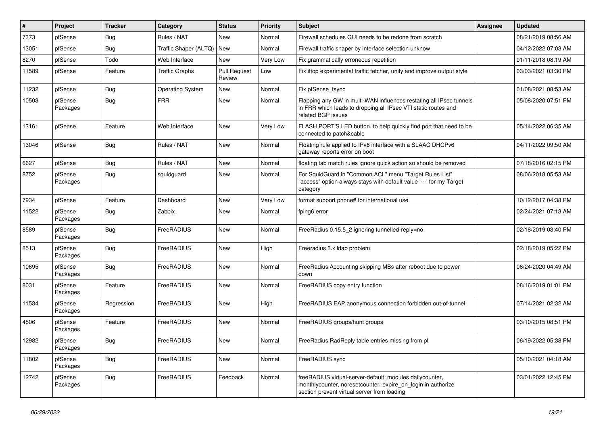| #     | Project             | <b>Tracker</b> | Category                | <b>Status</b>                 | <b>Priority</b> | <b>Subject</b>                                                                                                                                                          | <b>Assignee</b> | <b>Updated</b>      |
|-------|---------------------|----------------|-------------------------|-------------------------------|-----------------|-------------------------------------------------------------------------------------------------------------------------------------------------------------------------|-----------------|---------------------|
| 7373  | pfSense             | Bug            | Rules / NAT             | New                           | Normal          | Firewall schedules GUI needs to be redone from scratch                                                                                                                  |                 | 08/21/2019 08:56 AM |
| 13051 | pfSense             | Bug            | Traffic Shaper (ALTQ)   | <b>New</b>                    | Normal          | Firewall traffic shaper by interface selection unknow                                                                                                                   |                 | 04/12/2022 07:03 AM |
| 8270  | pfSense             | Todo           | Web Interface           | New                           | Very Low        | Fix grammatically erroneous repetition                                                                                                                                  |                 | 01/11/2018 08:19 AM |
| 11589 | pfSense             | Feature        | <b>Traffic Graphs</b>   | <b>Pull Request</b><br>Review | Low             | Fix iftop experimental traffic fetcher, unify and improve output style                                                                                                  |                 | 03/03/2021 03:30 PM |
| 11232 | pfSense             | Bug            | <b>Operating System</b> | <b>New</b>                    | Normal          | Fix pfSense_fsync                                                                                                                                                       |                 | 01/08/2021 08:53 AM |
| 10503 | pfSense<br>Packages | Bug            | <b>FRR</b>              | <b>New</b>                    | Normal          | Flapping any GW in multi-WAN influences restating all IPsec tunnels<br>in FRR which leads to dropping all IPsec VTI static routes and<br>related BGP issues             |                 | 05/08/2020 07:51 PM |
| 13161 | pfSense             | Feature        | Web Interface           | <b>New</b>                    | Very Low        | FLASH PORT'S LED button, to help quickly find port that need to be<br>connected to patch&cable                                                                          |                 | 05/14/2022 06:35 AM |
| 13046 | pfSense             | Bug            | Rules / NAT             | <b>New</b>                    | Normal          | Floating rule applied to IPv6 interface with a SLAAC DHCPv6<br>gateway reports error on boot                                                                            |                 | 04/11/2022 09:50 AM |
| 6627  | pfSense             | Bug            | Rules / NAT             | <b>New</b>                    | Normal          | floating tab match rules ignore quick action so should be removed                                                                                                       |                 | 07/18/2016 02:15 PM |
| 8752  | pfSense<br>Packages | Bug            | squidguard              | <b>New</b>                    | Normal          | For SquidGuard in "Common ACL" menu "Target Rules List"<br>"access" option always stays with default value '---' for my Target<br>category                              |                 | 08/06/2018 05:53 AM |
| 7934  | pfSense             | Feature        | Dashboard               | <b>New</b>                    | Very Low        | format support phone# for international use                                                                                                                             |                 | 10/12/2017 04:38 PM |
| 11522 | pfSense<br>Packages | Bug            | Zabbix                  | New                           | Normal          | fping6 error                                                                                                                                                            |                 | 02/24/2021 07:13 AM |
| 8589  | pfSense<br>Packages | Bug            | FreeRADIUS              | <b>New</b>                    | Normal          | FreeRadius 0.15.5 2 ignoring tunnelled-reply=no                                                                                                                         |                 | 02/18/2019 03:40 PM |
| 8513  | pfSense<br>Packages | Bug            | FreeRADIUS              | <b>New</b>                    | High            | Freeradius 3.x Idap problem                                                                                                                                             |                 | 02/18/2019 05:22 PM |
| 10695 | pfSense<br>Packages | Bug            | FreeRADIUS              | <b>New</b>                    | Normal          | FreeRadius Accounting skipping MBs after reboot due to power<br>down                                                                                                    |                 | 06/24/2020 04:49 AM |
| 8031  | pfSense<br>Packages | Feature        | FreeRADIUS              | <b>New</b>                    | Normal          | FreeRADIUS copy entry function                                                                                                                                          |                 | 08/16/2019 01:01 PM |
| 11534 | pfSense<br>Packages | Regression     | FreeRADIUS              | <b>New</b>                    | High            | FreeRADIUS EAP anonymous connection forbidden out-of-tunnel                                                                                                             |                 | 07/14/2021 02:32 AM |
| 4506  | pfSense<br>Packages | Feature        | FreeRADIUS              | <b>New</b>                    | Normal          | FreeRADIUS groups/hunt groups                                                                                                                                           |                 | 03/10/2015 08:51 PM |
| 12982 | pfSense<br>Packages | <b>Bug</b>     | FreeRADIUS              | New                           | Normal          | FreeRadius RadReply table entries missing from pf                                                                                                                       |                 | 06/19/2022 05:38 PM |
| 11802 | pfSense<br>Packages | <b>Bug</b>     | FreeRADIUS              | New                           | Normal          | FreeRADIUS sync                                                                                                                                                         |                 | 05/10/2021 04:18 AM |
| 12742 | pfSense<br>Packages | <b>Bug</b>     | FreeRADIUS              | Feedback                      | Normal          | freeRADIUS virtual-server-default: modules dailycounter,<br>monthlycounter, noresetcounter, expire on login in authorize<br>section prevent virtual server from loading |                 | 03/01/2022 12:45 PM |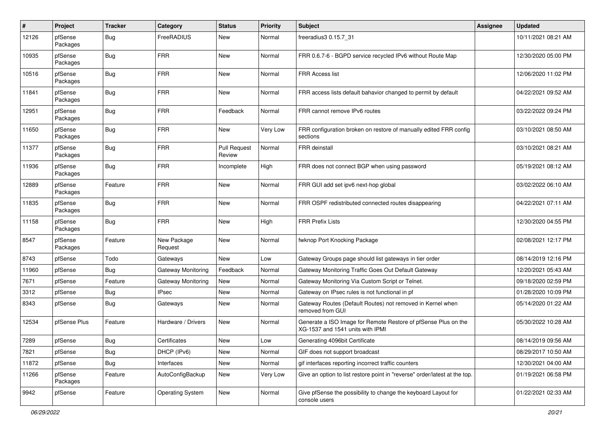| #     | Project             | <b>Tracker</b> | Category                  | <b>Status</b>                 | <b>Priority</b> | <b>Subject</b>                                                                                     | <b>Assignee</b> | <b>Updated</b>      |
|-------|---------------------|----------------|---------------------------|-------------------------------|-----------------|----------------------------------------------------------------------------------------------------|-----------------|---------------------|
| 12126 | pfSense<br>Packages | <b>Bug</b>     | FreeRADIUS                | New                           | Normal          | freeradius3 0.15.7_31                                                                              |                 | 10/11/2021 08:21 AM |
| 10935 | pfSense<br>Packages | <b>Bug</b>     | <b>FRR</b>                | <b>New</b>                    | Normal          | FRR 0.6.7-6 - BGPD service recycled IPv6 without Route Map                                         |                 | 12/30/2020 05:00 PM |
| 10516 | pfSense<br>Packages | <b>Bug</b>     | <b>FRR</b>                | <b>New</b>                    | Normal          | <b>FRR Access list</b>                                                                             |                 | 12/06/2020 11:02 PM |
| 11841 | pfSense<br>Packages | <b>Bug</b>     | <b>FRR</b>                | New                           | Normal          | FRR access lists default bahavior changed to permit by default                                     |                 | 04/22/2021 09:52 AM |
| 12951 | pfSense<br>Packages | <b>Bug</b>     | <b>FRR</b>                | Feedback                      | Normal          | FRR cannot remove IPv6 routes                                                                      |                 | 03/22/2022 09:24 PM |
| 11650 | pfSense<br>Packages | <b>Bug</b>     | <b>FRR</b>                | <b>New</b>                    | Very Low        | FRR configuration broken on restore of manually edited FRR config<br>sections                      |                 | 03/10/2021 08:50 AM |
| 11377 | pfSense<br>Packages | <b>Bug</b>     | <b>FRR</b>                | <b>Pull Request</b><br>Review | Normal          | FRR deinstall                                                                                      |                 | 03/10/2021 08:21 AM |
| 11936 | pfSense<br>Packages | <b>Bug</b>     | <b>FRR</b>                | Incomplete                    | High            | FRR does not connect BGP when using password                                                       |                 | 05/19/2021 08:12 AM |
| 12889 | pfSense<br>Packages | Feature        | <b>FRR</b>                | New                           | Normal          | FRR GUI add set ipv6 next-hop global                                                               |                 | 03/02/2022 06:10 AM |
| 11835 | pfSense<br>Packages | <b>Bug</b>     | <b>FRR</b>                | <b>New</b>                    | Normal          | FRR OSPF redistributed connected routes disappearing                                               |                 | 04/22/2021 07:11 AM |
| 11158 | pfSense<br>Packages | <b>Bug</b>     | <b>FRR</b>                | <b>New</b>                    | High            | <b>FRR Prefix Lists</b>                                                                            |                 | 12/30/2020 04:55 PM |
| 8547  | pfSense<br>Packages | Feature        | New Package<br>Request    | <b>New</b>                    | Normal          | fwknop Port Knocking Package                                                                       |                 | 02/08/2021 12:17 PM |
| 8743  | pfSense             | Todo           | Gateways                  | <b>New</b>                    | Low             | Gateway Groups page should list gateways in tier order                                             |                 | 08/14/2019 12:16 PM |
| 11960 | pfSense             | <b>Bug</b>     | Gateway Monitoring        | Feedback                      | Normal          | Gateway Monitoring Traffic Goes Out Default Gateway                                                |                 | 12/20/2021 05:43 AM |
| 7671  | pfSense             | Feature        | <b>Gateway Monitoring</b> | <b>New</b>                    | Normal          | Gateway Monitoring Via Custom Script or Telnet.                                                    |                 | 09/18/2020 02:59 PM |
| 3312  | pfSense             | <b>Bug</b>     | IPsec                     | New                           | Normal          | Gateway on IPsec rules is not functional in pf                                                     |                 | 01/28/2020 10:09 PM |
| 8343  | pfSense             | <b>Bug</b>     | Gateways                  | New                           | Normal          | Gateway Routes (Default Routes) not removed in Kernel when<br>removed from GUI                     |                 | 05/14/2020 01:22 AM |
| 12534 | pfSense Plus        | Feature        | Hardware / Drivers        | New                           | Normal          | Generate a ISO Image for Remote Restore of pfSense Plus on the<br>XG-1537 and 1541 units with IPMI |                 | 05/30/2022 10:28 AM |
| 7289  | pfSense             | Bug            | Certificates              | New                           | Low             | Generating 4096bit Certificate                                                                     |                 | 08/14/2019 09:56 AM |
| 7821  | pfSense             | <b>Bug</b>     | DHCP (IPv6)               | New                           | Normal          | GIF does not support broadcast                                                                     |                 | 08/29/2017 10:50 AM |
| 11872 | pfSense             | <b>Bug</b>     | Interfaces                | New                           | Normal          | gif interfaces reporting incorrect traffic counters                                                |                 | 12/30/2021 04:00 AM |
| 11266 | pfSense<br>Packages | Feature        | AutoConfigBackup          | New                           | Very Low        | Give an option to list restore point in "reverse" order/latest at the top.                         |                 | 01/19/2021 06:58 PM |
| 9942  | pfSense             | Feature        | <b>Operating System</b>   | New                           | Normal          | Give pfSense the possibility to change the keyboard Layout for<br>console users                    |                 | 01/22/2021 02:33 AM |